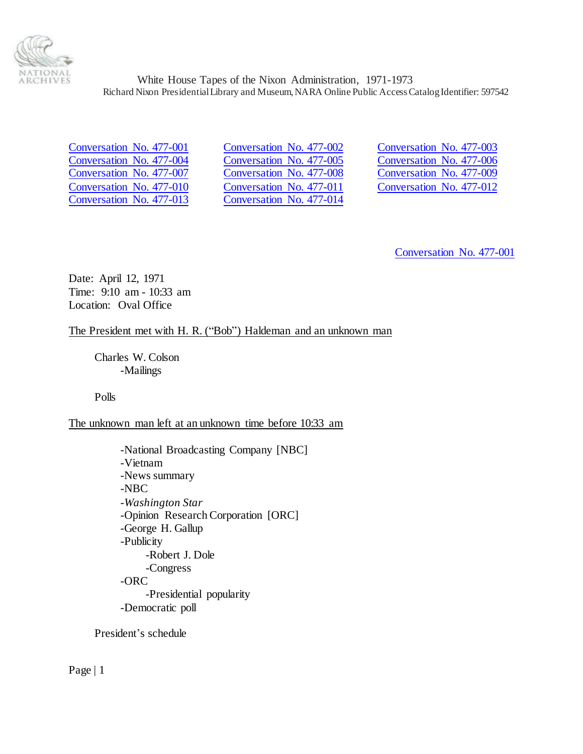

<span id="page-0-0"></span>

<span id="page-0-1"></span>[Conversation No. 477-001](#page-0-0) [Conversation No. 477-002](#page-16-0) [Conversation No. 477-003](#page-29-0) [Conversation No. 477-004](#page-30-0) [Conversation No. 477-005](#page-31-0) [Conversation No. 477-006](#page-32-0) [Conversation No. 477-007](#page-32-1) [Conversation No. 477-008](#page-40-0) [Conversation No. 477-009](#page-40-1) [Conversation No. 477-010](#page-41-0) [Conversation No. 477-011](#page-55-0) [Conversation No. 477-012](#page-67-0) [Conversation No. 477-013](#page-67-1) [Conversation No. 477-014](#page-79-0)

[Conversation No. 477-001](#page-0-1)

Date: April 12, 1971 Time: 9:10 am - 10:33 am Location: Oval Office

# The President met with H. R. ("Bob") Haldeman and an unknown man

Charles W. Colson -Mailings

Polls

The unknown man left at an unknown time before 10:33 am

-National Broadcasting Company [NBC] -Vietnam -News summary -NBC -*Washington Star* -Opinion Research Corporation [ORC] -George H. Gallup -Publicity -Robert J. Dole -Congress -ORC -Presidential popularity -Democratic poll

President's schedule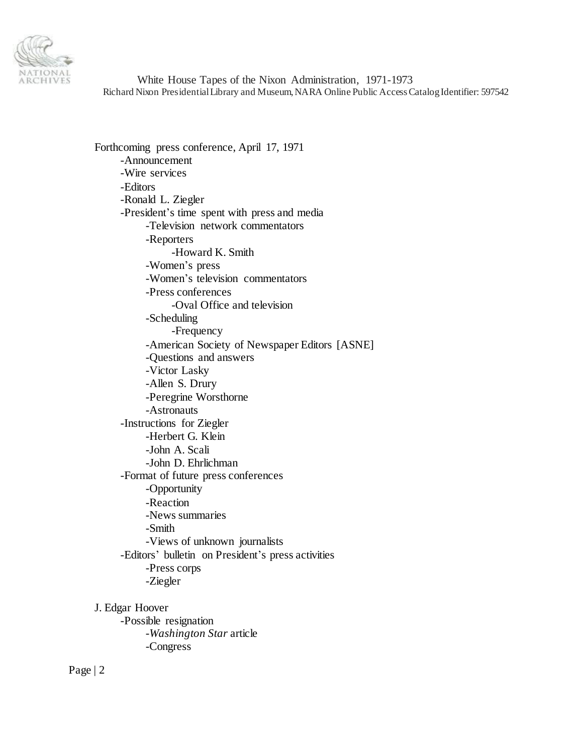

Forthcoming press conference, April 17, 1971 -Announcement -Wire services -Editors -Ronald L. Ziegler -President's time spent with press and media -Television network commentators -Reporters -Howard K. Smith -Women's press -Women's television commentators -Press conferences -Oval Office and television -Scheduling -Frequency -American Society of Newspaper Editors [ASNE] -Questions and answers -Victor Lasky -Allen S. Drury -Peregrine Worsthorne -Astronauts -Instructions for Ziegler -Herbert G. Klein -John A. Scali -John D. Ehrlichman -Format of future press conferences -Opportunity -Reaction -News summaries -Smith -Views of unknown journalists -Editors' bulletin on President's press activities -Press corps -Ziegler

J. Edgar Hoover -Possible resignation -*Washington Star* article -Congress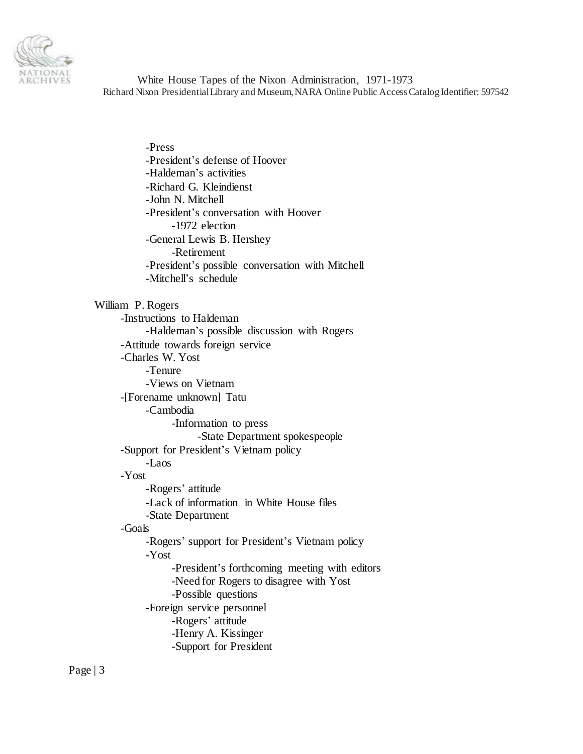

-Press -President's defense of Hoover -Haldeman's activities -Richard G. Kleindienst -John N. Mitchell -President's conversation with Hoover -1972 election -General Lewis B. Hershey -Retirement -President's possible conversation with Mitchell -Mitchell's schedule William P. Rogers -Instructions to Haldeman -Haldeman's possible discussion with Rogers -Attitude towards foreign service -Charles W. Yost -Tenure -Views on Vietnam -[Forename unknown] Tatu -Cambodia -Information to press -State Department spokespeople -Support for President's Vietnam policy -Laos -Yost -Rogers' attitude -Lack of information in White House files -State Department -Goals -Rogers' support for President's Vietnam policy -Yost -President's forthcoming meeting with editors -Need for Rogers to disagree with Yost -Possible questions -Foreign service personnel -Rogers' attitude -Henry A. Kissinger -Support for President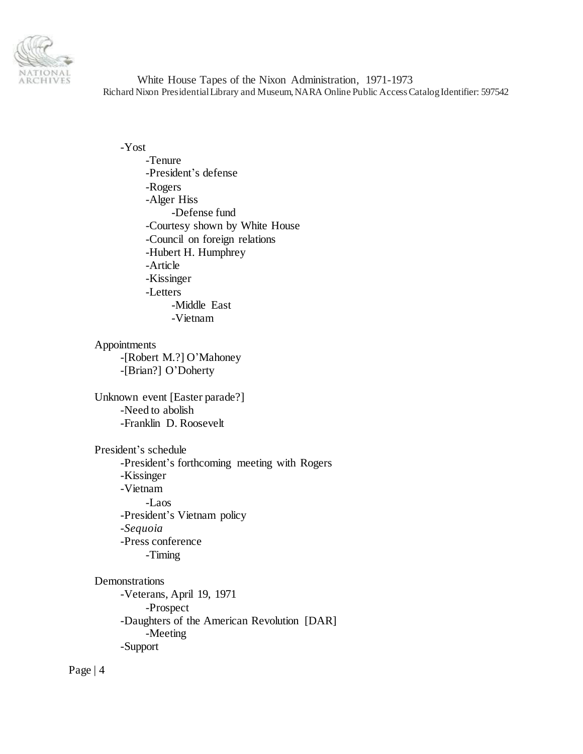

-Yost -Tenure -President's defense -Rogers -Alger Hiss -Defense fund -Courtesy shown by White House -Council on foreign relations -Hubert H. Humphrey -Article -Kissinger -Letters -Middle East -Vietnam Appointments -[Robert M.?] O'Mahoney

-[Brian?] O'Doherty

Unknown event [Easter parade?] -Need to abolish -Franklin D. Roosevelt

President's schedule -President's forthcoming meeting with Rogers -Kissinger -Vietnam -Laos -President's Vietnam policy -*Sequoia* -Press conference -Timing

Demonstrations -Veterans, April 19, 1971 -Prospect -Daughters of the American Revolution [DAR] -Meeting -Support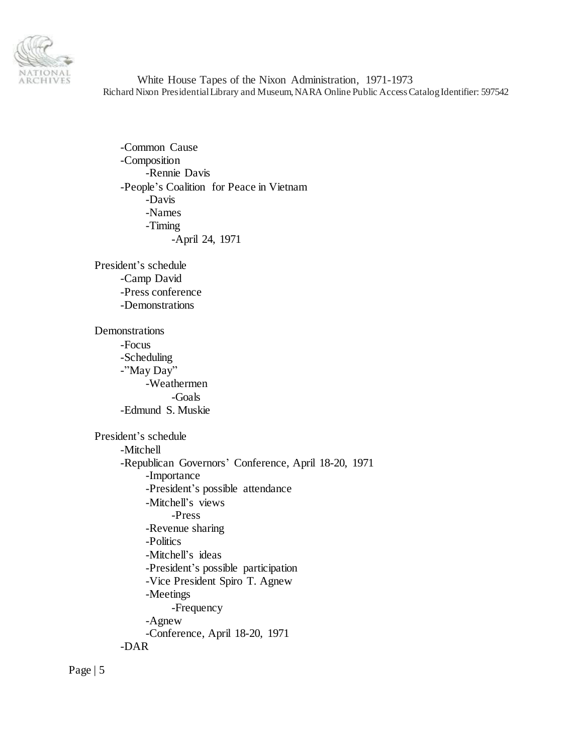

-Common Cause -Composition -Rennie Davis -People's Coalition for Peace in Vietnam -Davis -Names -Timing -April 24, 1971

President's schedule -Camp David -Press conference -Demonstrations

Demonstrations -Focus -Scheduling -"May Day" -Weathermen -Goals -Edmund S. Muskie

President's schedule -Mitchell -Republican Governors' Conference, April 18-20, 1971 -Importance -President's possible attendance -Mitchell's views -Press -Revenue sharing -Politics -Mitchell's ideas -President's possible participation -Vice President Spiro T. Agnew -Meetings -Frequency -Agnew -Conference, April 18-20, 1971 -DAR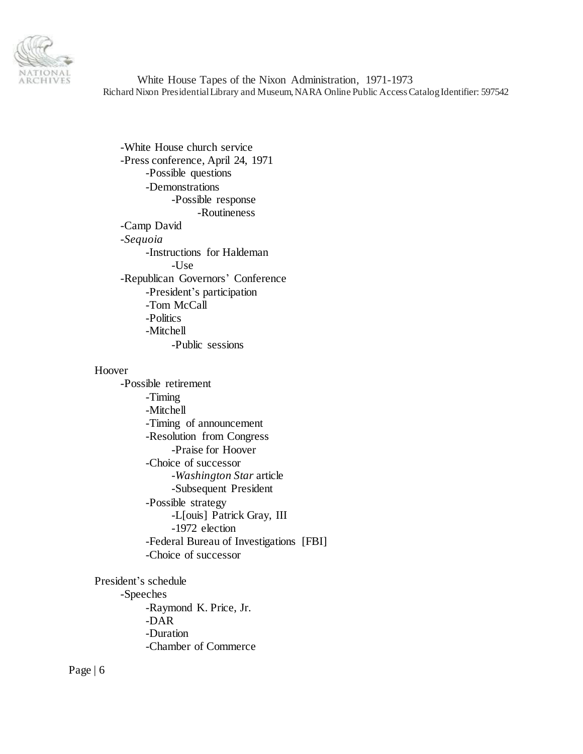

-White House church service -Press conference, April 24, 1971 -Possible questions -Demonstrations -Possible response -Routineness -Camp David -*Sequoia* -Instructions for Haldeman  $-U$ se -Republican Governors' Conference -President's participation -Tom McCall -Politics -Mitchell -Public sessions

#### Hoover

-Possible retirement -Timing -Mitchell -Timing of announcement -Resolution from Congress -Praise for Hoover -Choice of successor -*Washington Star* article -Subsequent President -Possible strategy -L[ouis] Patrick Gray, III -1972 election -Federal Bureau of Investigations [FBI] -Choice of successor

President's schedule -Speeches -Raymond K. Price, Jr. -DAR -Duration -Chamber of Commerce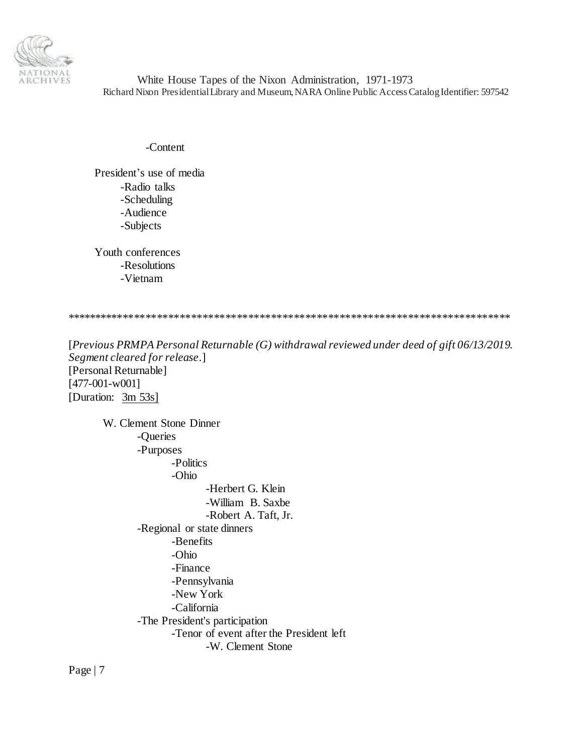

-Content

President's use of media -Radio talks -Scheduling -Audience -Subjects

Youth conferences -Resolutions -Vietnam

\*\*\*\*\*\*\*\*\*\*\*\*\*\*\*\*\*\*\*\*\*\*\*\*\*\*\*\*\*\*\*\*\*\*\*\*\*\*\*\*\*\*\*\*\*\*\*\*\*\*\*\*\*\*\*\*\*\*\*\*\*\*\*\*\*\*\*\*\*\*\*\*\*\*\*\*\*\*

[*Previous PRMPA Personal Returnable (G) withdrawal reviewed under deed of gift 06/13/2019. Segment cleared for release*.] [Personal Returnable] [477-001-w001] [Duration:  $3m 53s$ ]

W. Clement Stone Dinner -Queries -Purposes -Politics -Ohio -Herbert G. Klein -William B. Saxbe -Robert A. Taft, Jr. -Regional or state dinners -Benefits -Ohio -Finance -Pennsylvania -New York -California -The President's participation -Tenor of event after the President left -W. Clement Stone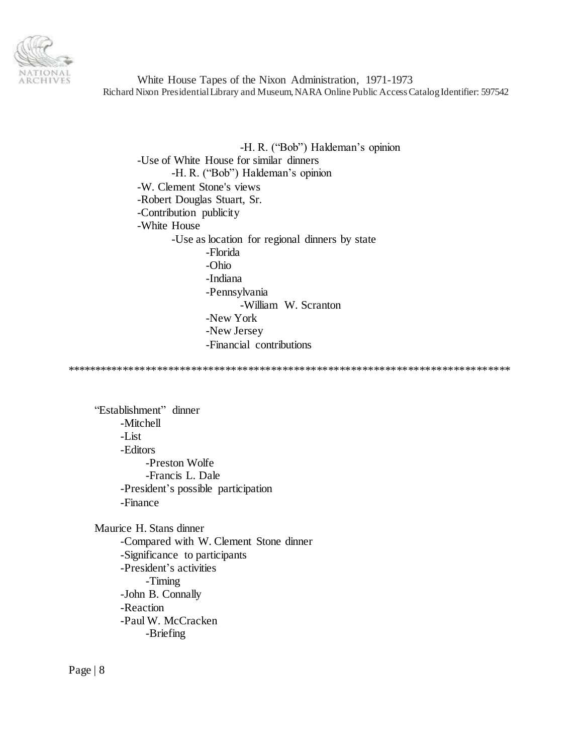

-H. R. ("Bob") Haldeman's opinion -Use of White House for similar dinners -H. R. ("Bob") Haldeman's opinion -W. Clement Stone's views -Robert Douglas Stuart, Sr. -Contribution publicity -White House -Use as location for regional dinners by state -Florida -Ohio -Indiana -Pennsylvania -William W. Scranton -New York -New Jersey -Financial contributions

\*\*\*\*\*\*\*\*\*\*\*\*\*\*\*\*\*\*\*\*\*\*\*\*\*\*\*\*\*\*\*\*\*\*\*\*\*\*\*\*\*\*\*\*\*\*\*\*\*\*\*\*\*\*\*\*\*\*\*\*\*\*\*\*\*\*\*\*\*\*\*\*\*\*\*\*\*\*

"Establishment" dinner -Mitchell -List -Editors -Preston Wolfe -Francis L. Dale -President's possible participation -Finance

Maurice H. Stans dinner -Compared with W. Clement Stone dinner -Significance to participants -President's activities -Timing -John B. Connally -Reaction -Paul W. McCracken -Briefing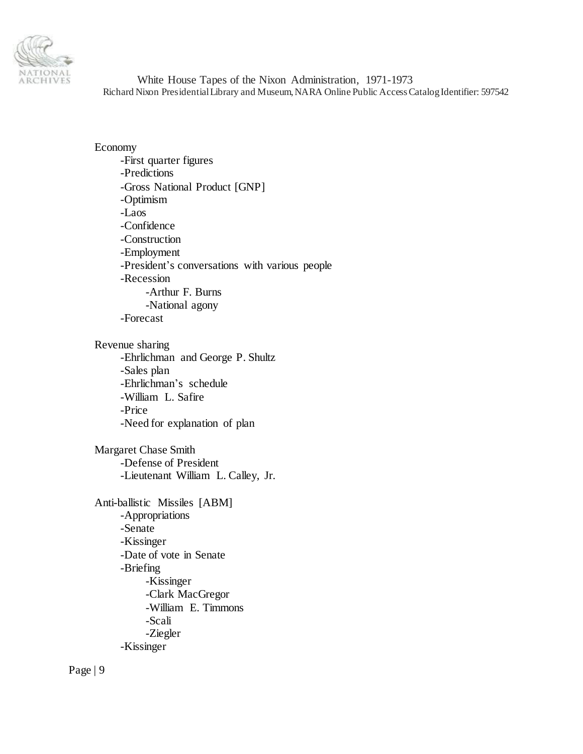

Economy -First quarter figures -Predictions -Gross National Product [GNP] -Optimism -Laos -Confidence -Construction -Employment -President's conversations with various people -Recession -Arthur F. Burns -National agony -Forecast Revenue sharing -Ehrlichman and George P. Shultz -Sales plan -Ehrlichman's schedule -William L. Safire -Price -Need for explanation of plan Margaret Chase Smith -Defense of President -Lieutenant William L. Calley, Jr. Anti-ballistic Missiles [ABM] -Appropriations -Senate -Kissinger -Date of vote in Senate -Briefing

-Kissinger -Clark MacGregor -William E. Timmons -Scali -Ziegler -Kissinger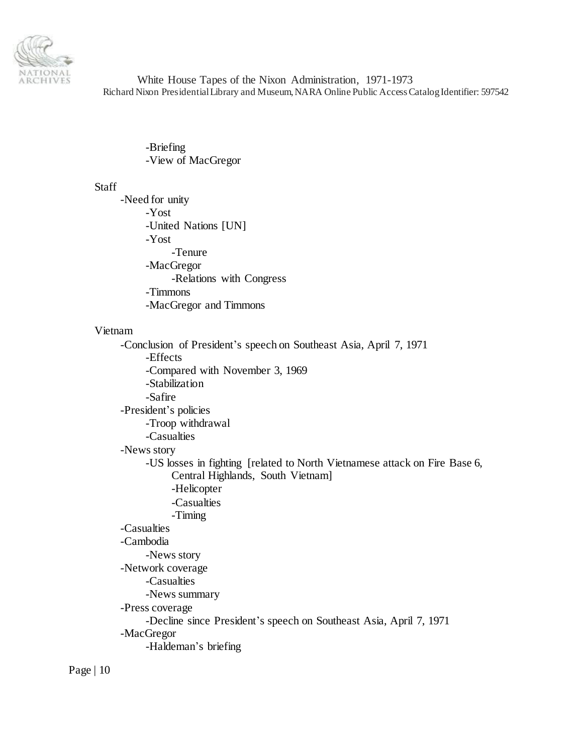

> -Briefing -View of MacGregor

#### Staff

-Need for unity -Yost -United Nations [UN] -Yost -Tenure -MacGregor -Relations with Congress -Timmons -MacGregor and Timmons Vietnam -Conclusion of President's speech on Southeast Asia, April 7, 1971 -Effects -Compared with November 3, 1969 -Stabilization -Safire -President's policies -Troop withdrawal -Casualties -News story -US losses in fighting [related to North Vietnamese attack on Fire Base 6, Central Highlands, South Vietnam] -Helicopter -Casualties -Timing -Casualties -Cambodia -News story -Network coverage -Casualties -News summary -Press coverage -Decline since President's speech on Southeast Asia, April 7, 1971 -MacGregor -Haldeman's briefing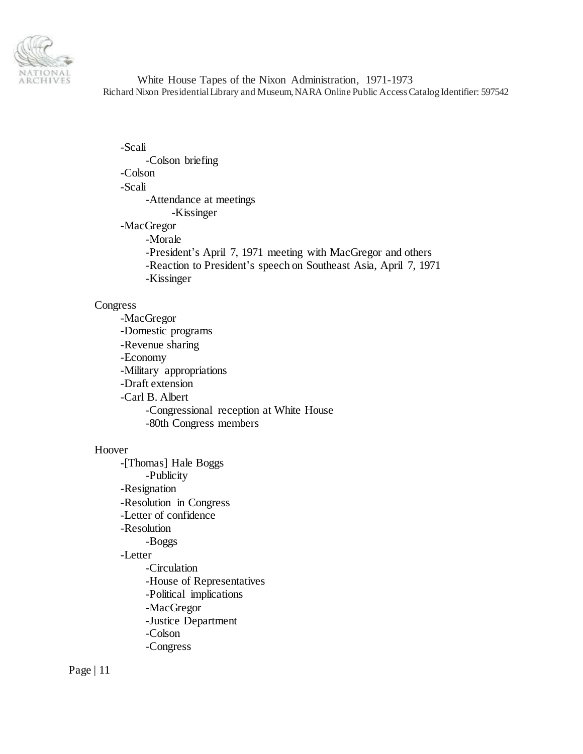

-Scali -Colson briefing -Colson -Scali -Attendance at meetings -Kissinger -MacGregor -Morale -President's April 7, 1971 meeting with MacGregor and others -Reaction to President's speech on Southeast Asia, April 7, 1971 -Kissinger

### Congress

-MacGregor -Domestic programs -Revenue sharing -Economy -Military appropriations -Draft extension -Carl B. Albert -Congressional reception at White House -80th Congress members

### Hoover

-[Thomas] Hale Boggs -Publicity -Resignation -Resolution in Congress -Letter of confidence -Resolution -Boggs -Letter -Circulation -House of Representatives -Political implications -MacGregor -Justice Department -Colson -Congress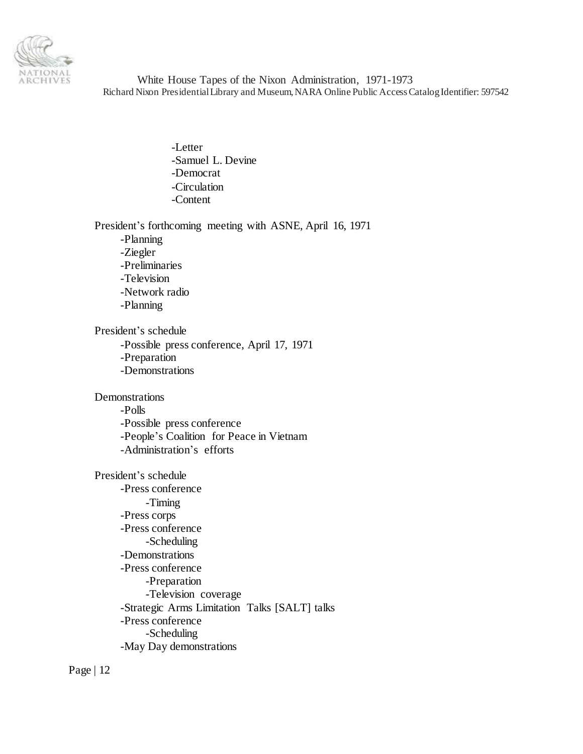

> -Letter -Samuel L. Devine -Democrat -Circulation -Content

President's forthcoming meeting with ASNE, April 16, 1971

-Planning -Ziegler -Preliminaries -Television -Network radio -Planning

President's schedule -Possible press conference, April 17, 1971 -Preparation -Demonstrations

Demonstrations

-Polls -Possible press conference -People's Coalition for Peace in Vietnam -Administration's efforts

President's schedule -Press conference -Timing -Press corps -Press conference -Scheduling -Demonstrations -Press conference -Preparation -Television coverage -Strategic Arms Limitation Talks [SALT] talks -Press conference -Scheduling -May Day demonstrations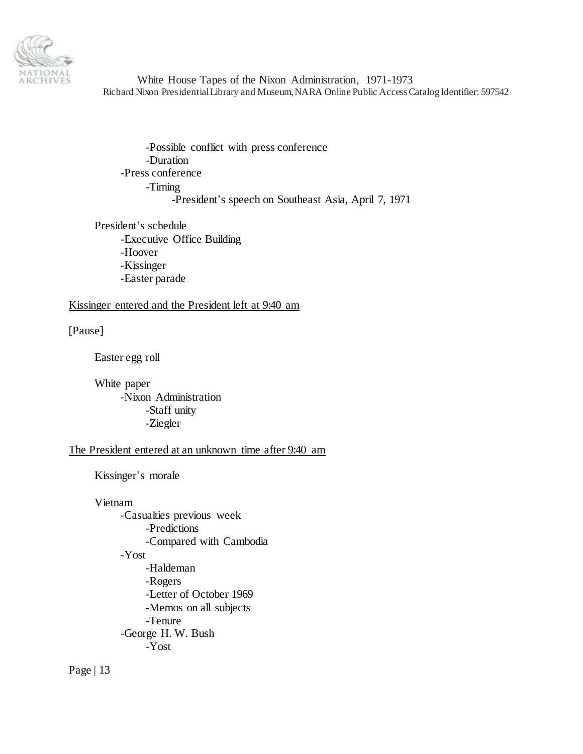

-Possible conflict with press conference -Duration -Press conference -Timing -President's speech on Southeast Asia, April 7, 1971

President's schedule -Executive Office Building -Hoover -Kissinger -Easter parade

### Kissinger entered and the President left at 9:40 am

[Pause]

Easter egg roll

White paper -Nixon Administration -Staff unity -Ziegler

### The President entered at an unknown time after 9:40 am

Kissinger's morale

Vietnam

-Casualties previous week -Predictions -Compared with Cambodia -Yost -Haldeman -Rogers -Letter of October 1969 -Memos on all subjects -Tenure -George H. W. Bush -Yost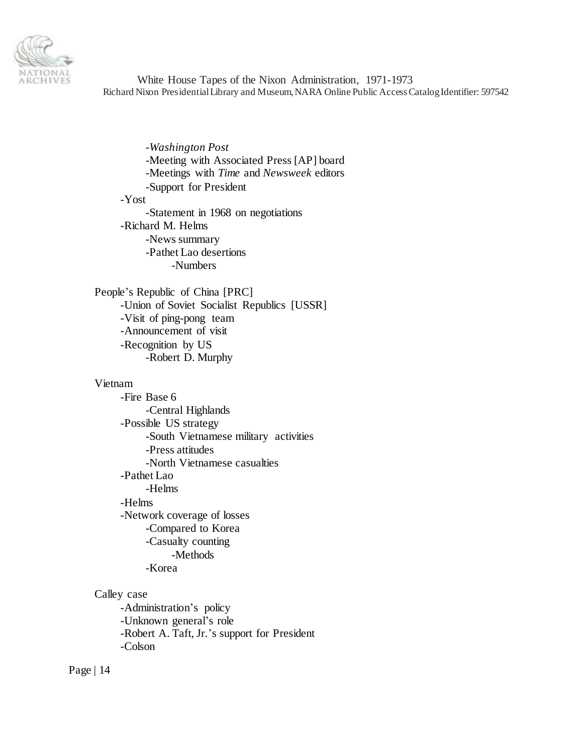

-*Washington Post* -Meeting with Associated Press [AP] board -Meetings with *Time* and *Newsweek* editors -Support for President -Yost -Statement in 1968 on negotiations -Richard M. Helms -News summary -Pathet Lao desertions -Numbers

People's Republic of China [PRC] -Union of Soviet Socialist Republics [USSR] -Visit of ping-pong team -Announcement of visit -Recognition by US -Robert D. Murphy

### Vietnam

-Fire Base 6 -Central Highlands -Possible US strategy -South Vietnamese military activities -Press attitudes -North Vietnamese casualties -Pathet Lao -Helms -Helms -Network coverage of losses -Compared to Korea -Casualty counting -Methods -Korea

Calley case

-Administration's policy -Unknown general's role -Robert A. Taft, Jr.'s support for President -Colson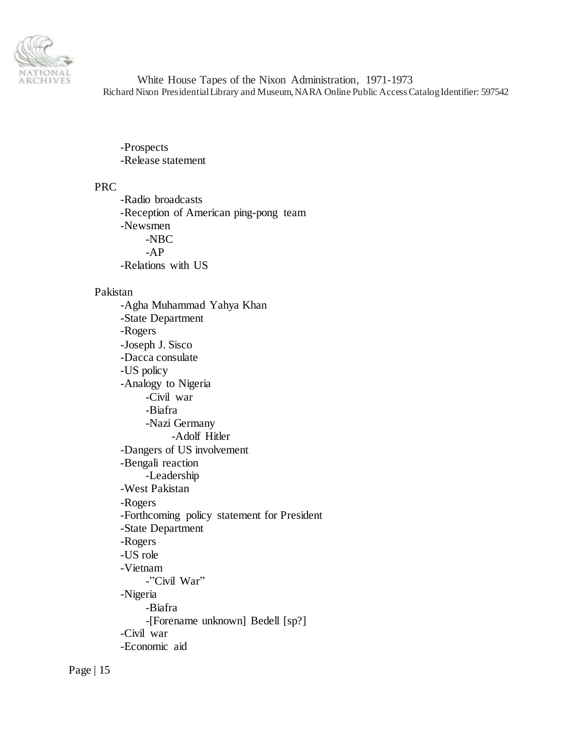

-Prospects -Release statement

### PRC

-Radio broadcasts -Reception of American ping-pong team -Newsmen -NBC -AP -Relations with US

### Pakistan

-Agha Muhammad Yahya Khan -State Department -Rogers -Joseph J. Sisco -Dacca consulate -US policy -Analogy to Nigeria -Civil war -Biafra -Nazi Germany -Adolf Hitler -Dangers of US involvement -Bengali reaction -Leadership -West Pakistan -Rogers -Forthcoming policy statement for President -State Department -Rogers -US role -Vietnam -"Civil War" -Nigeria -Biafra -[Forename unknown] Bedell [sp?] -Civil war -Economic aid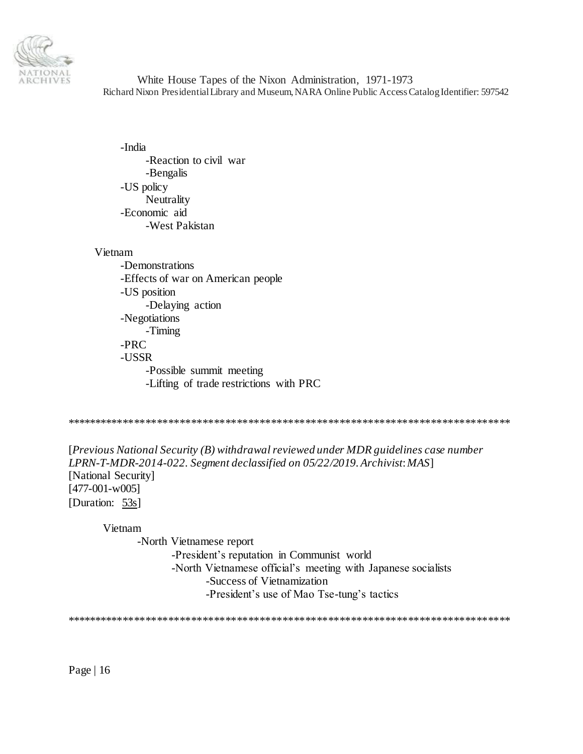

-India -Reaction to civil war -Bengalis -US policy Neutrality -Economic aid -West Pakistan

### Vietnam

-Demonstrations -Effects of war on American people -US position -Delaying action -Negotiations -Timing -PRC -USSR -Possible summit meeting -Lifting of trade restrictions with PRC

\*\*\*\*\*\*\*\*\*\*\*\*\*\*\*\*\*\*\*\*\*\*\*\*\*\*\*\*\*\*\*\*\*\*\*\*\*\*\*\*\*\*\*\*\*\*\*\*\*\*\*\*\*\*\*\*\*\*\*\*\*\*\*\*\*\*\*\*\*\*\*\*\*\*\*\*\*\*

[*Previous National Security (B) withdrawal reviewed under MDR guidelines case number LPRN-T-MDR-2014-022. Segment declassified on 05/22/2019. Archivist*: *MAS*] [National Security] [477-001-w005] [Duration: 53s]

Vietnam

-North Vietnamese report -President's reputation in Communist world -North Vietnamese official's meeting with Japanese socialists -Success of Vietnamization -President's use of Mao Tse-tung's tactics

\*\*\*\*\*\*\*\*\*\*\*\*\*\*\*\*\*\*\*\*\*\*\*\*\*\*\*\*\*\*\*\*\*\*\*\*\*\*\*\*\*\*\*\*\*\*\*\*\*\*\*\*\*\*\*\*\*\*\*\*\*\*\*\*\*\*\*\*\*\*\*\*\*\*\*\*\*\*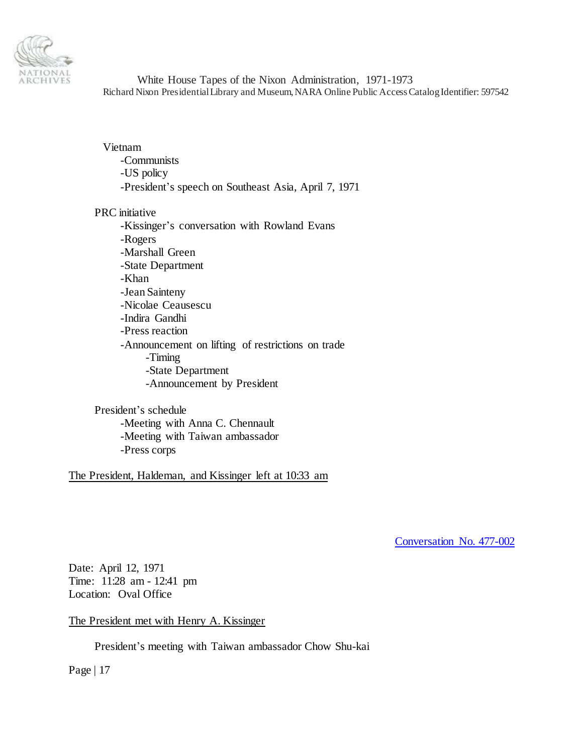

Vietnam -Communists -US policy -President's speech on Southeast Asia, April 7, 1971

### PRC initiative

-Kissinger's conversation with Rowland Evans -Rogers -Marshall Green -State Department -Khan -Jean Sainteny -Nicolae Ceausescu -Indira Gandhi -Press reaction -Announcement on lifting of restrictions on trade -Timing -State Department -Announcement by President

President's schedule -Meeting with Anna C. Chennault -Meeting with Taiwan ambassador -Press corps

The President, Haldeman, and Kissinger left at 10:33 am

<span id="page-16-0"></span>[Conversation No. 477-002](#page-0-1)

Date: April 12, 1971 Time: 11:28 am - 12:41 pm Location: Oval Office

The President met with Henry A. Kissinger

President's meeting with Taiwan ambassador Chow Shu-kai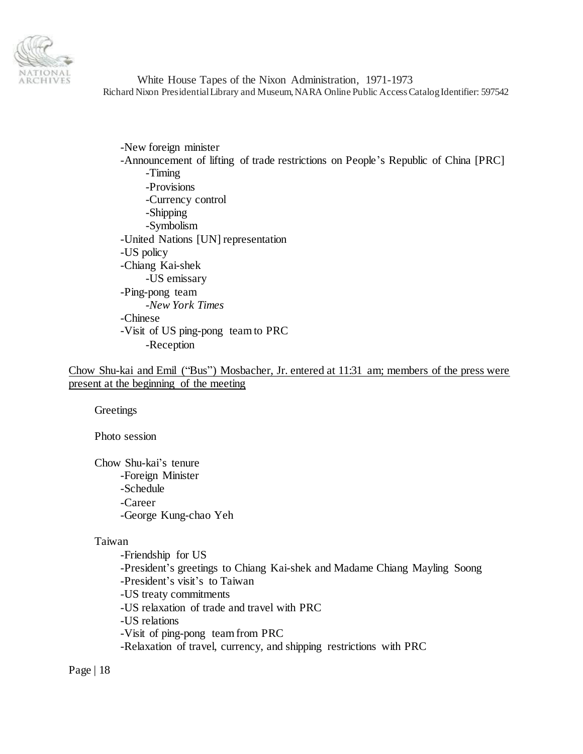

-New foreign minister -Announcement of lifting of trade restrictions on People's Republic of China [PRC] -Timing -Provisions -Currency control -Shipping -Symbolism -United Nations [UN] representation -US policy -Chiang Kai-shek -US emissary -Ping-pong team -*New York Times* -Chinese -Visit of US ping-pong team to PRC -Reception

Chow Shu-kai and Emil ("Bus") Mosbacher, Jr. entered at 11:31 am; members of the press were present at the beginning of the meeting

**Greetings** 

Photo session

Chow Shu-kai's tenure -Foreign Minister -Schedule -Career -George Kung-chao Yeh

#### Taiwan

-Friendship for US -President's greetings to Chiang Kai-shek and Madame Chiang Mayling Soong -President's visit's to Taiwan -US treaty commitments -US relaxation of trade and travel with PRC -US relations -Visit of ping-pong team from PRC -Relaxation of travel, currency, and shipping restrictions with PRC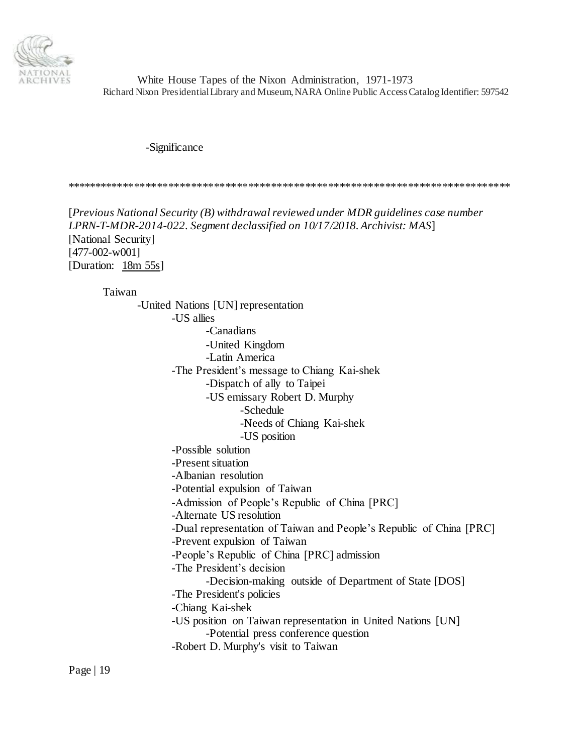

-Significance

\*\*\*\*\*\*\*\*\*\*\*\*\*\*\*\*\*\*\*\*\*\*\*\*\*\*\*\*\*\*\*\*\*\*\*\*\*\*\*\*\*\*\*\*\*\*\*\*\*\*\*\*\*\*\*\*\*\*\*\*\*\*\*\*\*\*\*\*\*\*\*\*\*\*\*\*\*\*

[*Previous National Security (B) withdrawal reviewed under MDR guidelines case number LPRN-T-MDR-2014-022. Segment declassified on 10/17/2018. Archivist: MAS*] [National Security] [477-002-w001] [Duration: 18m 55s]

Taiwan

-United Nations [UN] representation -US allies -Canadians -United Kingdom -Latin America -The President's message to Chiang Kai-shek -Dispatch of ally to Taipei -US emissary Robert D. Murphy -Schedule -Needs of Chiang Kai-shek -US position -Possible solution -Present situation -Albanian resolution -Potential expulsion of Taiwan -Admission of People's Republic of China [PRC] -Alternate US resolution -Dual representation of Taiwan and People's Republic of China [PRC] -Prevent expulsion of Taiwan -People's Republic of China [PRC] admission -The President's decision -Decision-making outside of Department of State [DOS] -The President's policies -Chiang Kai-shek -US position on Taiwan representation in United Nations [UN] -Potential press conference question -Robert D. Murphy's visit to Taiwan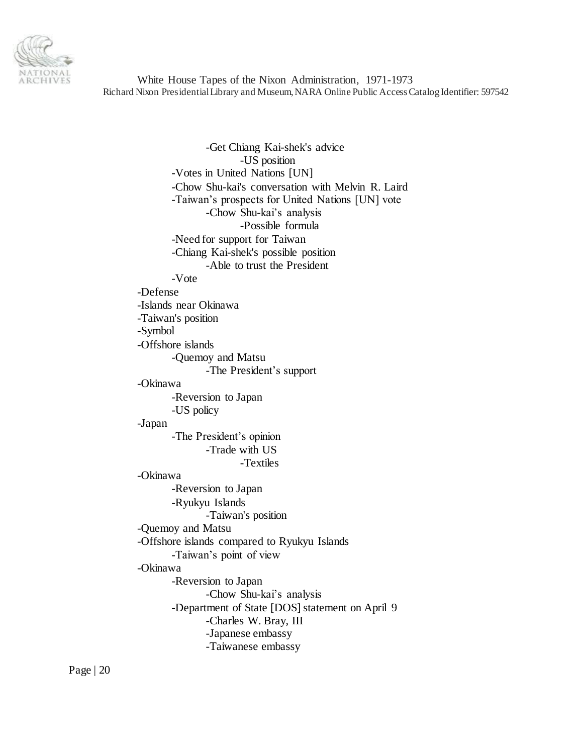

-Get Chiang Kai-shek's advice -US position -Votes in United Nations [UN] -Chow Shu-kai's conversation with Melvin R. Laird -Taiwan's prospects for United Nations [UN] vote -Chow Shu-kai's analysis -Possible formula -Need for support for Taiwan -Chiang Kai-shek's possible position -Able to trust the President -Vote -Defense -Islands near Okinawa -Taiwan's position -Symbol -Offshore islands -Quemoy and Matsu -The President's support -Okinawa -Reversion to Japan -US policy -Japan -The President's opinion -Trade with US -Textiles -Okinawa -Reversion to Japan -Ryukyu Islands -Taiwan's position -Quemoy and Matsu -Offshore islands compared to Ryukyu Islands -Taiwan's point of view -Okinawa -Reversion to Japan -Chow Shu-kai's analysis -Department of State [DOS] statement on April 9 -Charles W. Bray, III -Japanese embassy -Taiwanese embassy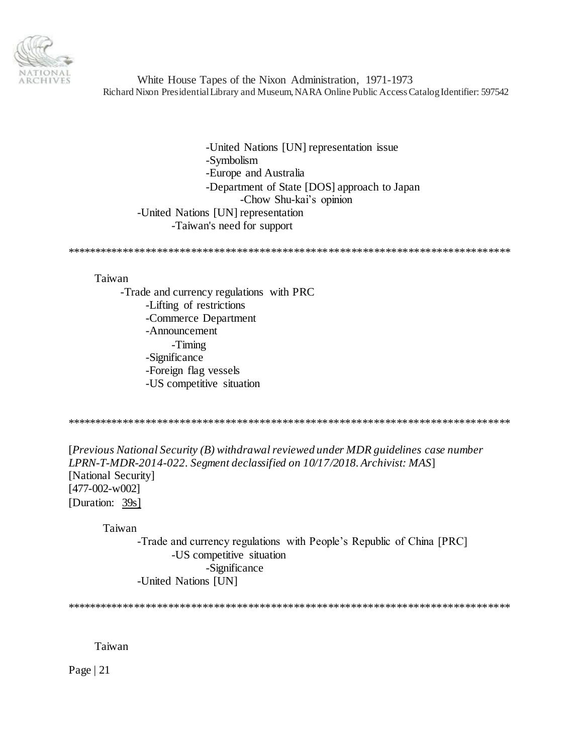

-United Nations [UN] representation issue -Symbolism -Europe and Australia -Department of State [DOS] approach to Japan -Chow Shu-kai's opinion -United Nations [UN] representation -Taiwan's need for support

\*\*\*\*\*\*\*\*\*\*\*\*\*\*\*\*\*\*\*\*\*\*\*\*\*\*\*\*\*\*\*\*\*\*\*\*\*\*\*\*\*\*\*\*\*\*\*\*\*\*\*\*\*\*\*\*\*\*\*\*\*\*\*\*\*\*\*\*\*\*\*\*\*\*\*\*\*\*

#### Taiwan

-Trade and currency regulations with PRC -Lifting of restrictions -Commerce Department -Announcement -Timing -Significance -Foreign flag vessels -US competitive situation

\*\*\*\*\*\*\*\*\*\*\*\*\*\*\*\*\*\*\*\*\*\*\*\*\*\*\*\*\*\*\*\*\*\*\*\*\*\*\*\*\*\*\*\*\*\*\*\*\*\*\*\*\*\*\*\*\*\*\*\*\*\*\*\*\*\*\*\*\*\*\*\*\*\*\*\*\*\*

[*Previous National Security (B) withdrawal reviewed under MDR guidelines case number LPRN-T-MDR-2014-022. Segment declassified on 10/17/2018. Archivist: MAS*] [National Security] [477-002-w002] [Duration: 39s]

Taiwan

-Trade and currency regulations with People's Republic of China [PRC] -US competitive situation -Significance -United Nations [UN]

\*\*\*\*\*\*\*\*\*\*\*\*\*\*\*\*\*\*\*\*\*\*\*\*\*\*\*\*\*\*\*\*\*\*\*\*\*\*\*\*\*\*\*\*\*\*\*\*\*\*\*\*\*\*\*\*\*\*\*\*\*\*\*\*\*\*\*\*\*\*\*\*\*\*\*\*\*\*

Taiwan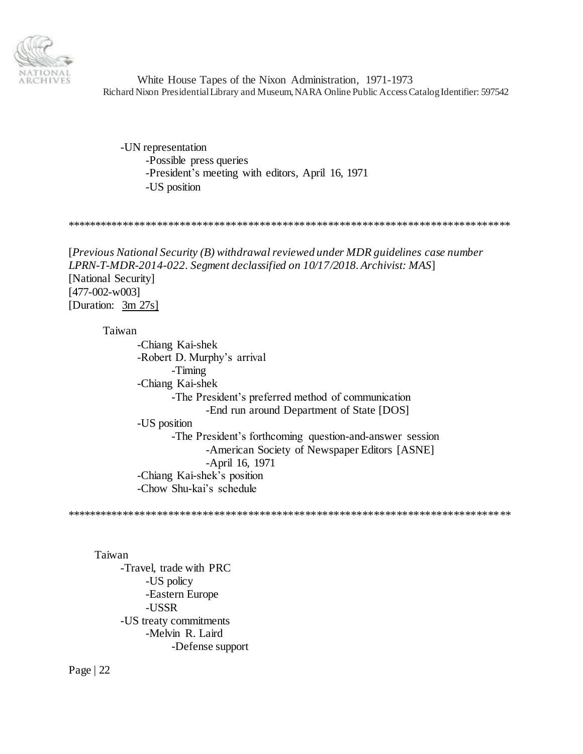

-UN representation -Possible press queries -President's meeting with editors, April 16, 1971 -US position

\*\*\*\*\*\*\*\*\*\*\*\*\*\*\*\*\*\*\*\*\*\*\*\*\*\*\*\*\*\*\*\*\*\*\*\*\*\*\*\*\*\*\*\*\*\*\*\*\*\*\*\*\*\*\*\*\*\*\*\*\*\*\*\*\*\*\*\*\*\*\*\*\*\*\*\*\*\*

[*Previous National Security (B) withdrawal reviewed under MDR guidelines case number LPRN-T-MDR-2014-022. Segment declassified on 10/17/2018. Archivist: MAS*] [National Security] [477-002-w003] [Duration:3m 27s]

Taiwan

-Chiang Kai-shek -Robert D. Murphy's arrival -Timing -Chiang Kai-shek -The President's preferred method of communication -End run around Department of State [DOS] -US position -The President's forthcoming question-and-answer session -American Society of Newspaper Editors [ASNE] -April 16, 1971 -Chiang Kai-shek's position -Chow Shu-kai's schedule

\*\*\*\*\*\*\*\*\*\*\*\*\*\*\*\*\*\*\*\*\*\*\*\*\*\*\*\*\*\*\*\*\*\*\*\*\*\*\*\*\*\*\*\*\*\*\*\*\*\*\*\*\*\*\*\*\*\*\*\*\*\*\*\*\*\*\*\*\*\*\*\*\*\*\*\*\*\*

Taiwan

-Travel, trade with PRC -US policy -Eastern Europe -USSR -US treaty commitments -Melvin R. Laird -Defense support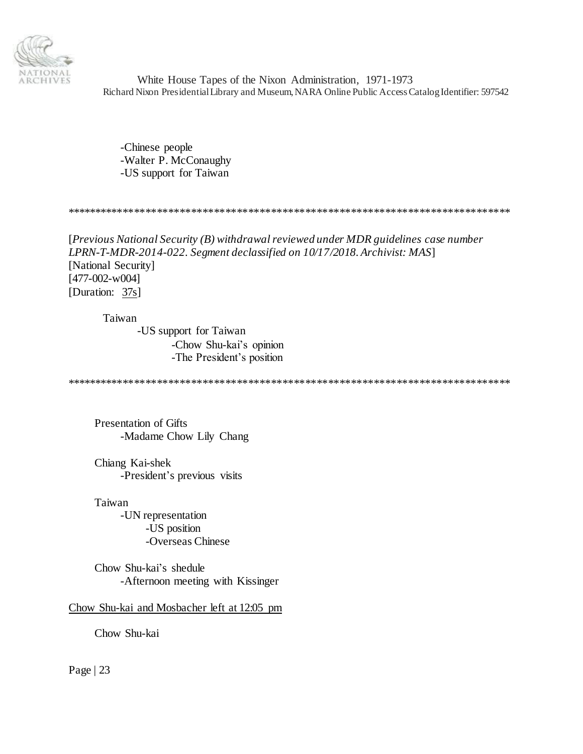

-Chinese people -Walter P. McConaughy -US support for Taiwan

\*\*\*\*\*\*\*\*\*\*\*\*\*\*\*\*\*\*\*\*\*\*\*\*\*\*\*\*\*\*\*\*\*\*\*\*\*\*\*\*\*\*\*\*\*\*\*\*\*\*\*\*\*\*\*\*\*\*\*\*\*\*\*\*\*\*\*\*\*\*\*\*\*\*\*\*\*\*

[*Previous National Security (B) withdrawal reviewed under MDR guidelines case number LPRN-T-MDR-2014-022. Segment declassified on 10/17/2018. Archivist: MAS*] [National Security] [477-002-w004] [Duration: 37s]

Taiwan -US support for Taiwan -Chow Shu-kai's opinion -The President's position

\*\*\*\*\*\*\*\*\*\*\*\*\*\*\*\*\*\*\*\*\*\*\*\*\*\*\*\*\*\*\*\*\*\*\*\*\*\*\*\*\*\*\*\*\*\*\*\*\*\*\*\*\*\*\*\*\*\*\*\*\*\*\*\*\*\*\*\*\*\*\*\*\*\*\*\*\*\*

Presentation of Gifts -Madame Chow Lily Chang

Chiang Kai-shek -President's previous visits

Taiwan -UN representation -US position -Overseas Chinese

Chow Shu-kai's shedule -Afternoon meeting with Kissinger

Chow Shu-kai and Mosbacher left at 12:05 pm

Chow Shu-kai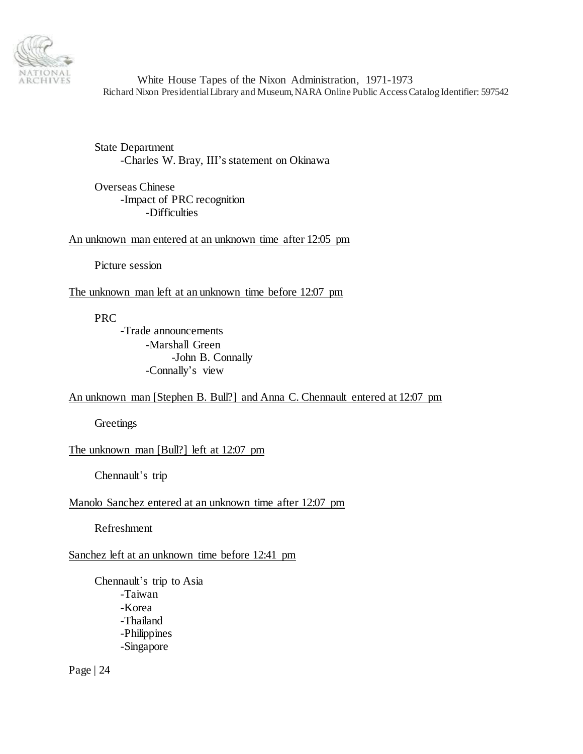

State Department -Charles W. Bray, III's statement on Okinawa

Overseas Chinese -Impact of PRC recognition -Difficulties

An unknown man entered at an unknown time after 12:05 pm

Picture session

The unknown man left at an unknown time before 12:07 pm

PRC

-Trade announcements -Marshall Green -John B. Connally -Connally's view

# An unknown man [Stephen B. Bull?] and Anna C. Chennault entered at 12:07 pm

**Greetings** 

The unknown man [Bull?] left at 12:07 pm

Chennault's trip

### Manolo Sanchez entered at an unknown time after 12:07 pm

Refreshment

# Sanchez left at an unknown time before 12:41 pm

Chennault's trip to Asia -Taiwan -Korea -Thailand -Philippines -Singapore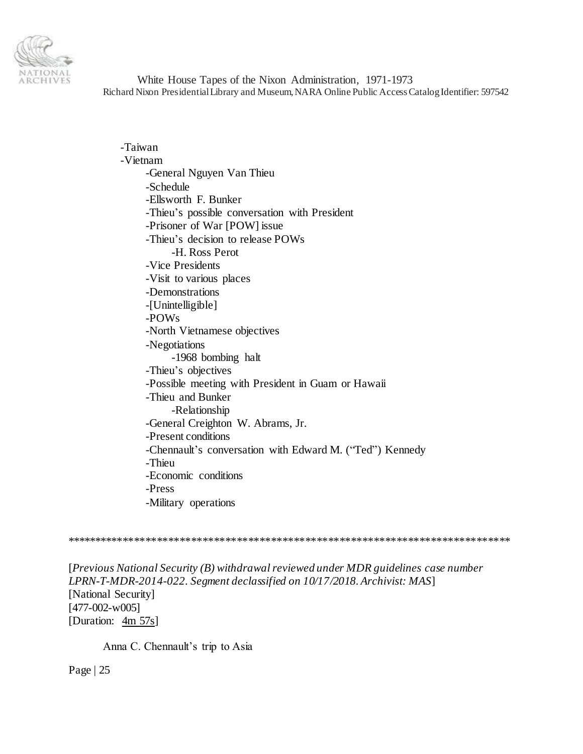

-Taiwan -Vietnam -General Nguyen Van Thieu -Schedule -Ellsworth F. Bunker -Thieu's possible conversation with President -Prisoner of War [POW] issue -Thieu's decision to release POWs -H. Ross Perot -Vice Presidents -Visit to various places -Demonstrations -[Unintelligible] -POWs -North Vietnamese objectives -Negotiations -1968 bombing halt -Thieu's objectives -Possible meeting with President in Guam or Hawaii -Thieu and Bunker -Relationship -General Creighton W. Abrams, Jr. -Present conditions -Chennault's conversation with Edward M. ("Ted") Kennedy -Thieu -Economic conditions -Press -Military operations

\*\*\*\*\*\*\*\*\*\*\*\*\*\*\*\*\*\*\*\*\*\*\*\*\*\*\*\*\*\*\*\*\*\*\*\*\*\*\*\*\*\*\*\*\*\*\*\*\*\*\*\*\*\*\*\*\*\*\*\*\*\*\*\*\*\*\*\*\*\*\*\*\*\*\*\*\*\*

[*Previous National Security (B) withdrawal reviewed under MDR guidelines case number LPRN-T-MDR-2014-022. Segment declassified on 10/17/2018. Archivist: MAS*] [National Security] [477-002-w005] [Duration: 4m 57s]

Anna C. Chennault's trip to Asia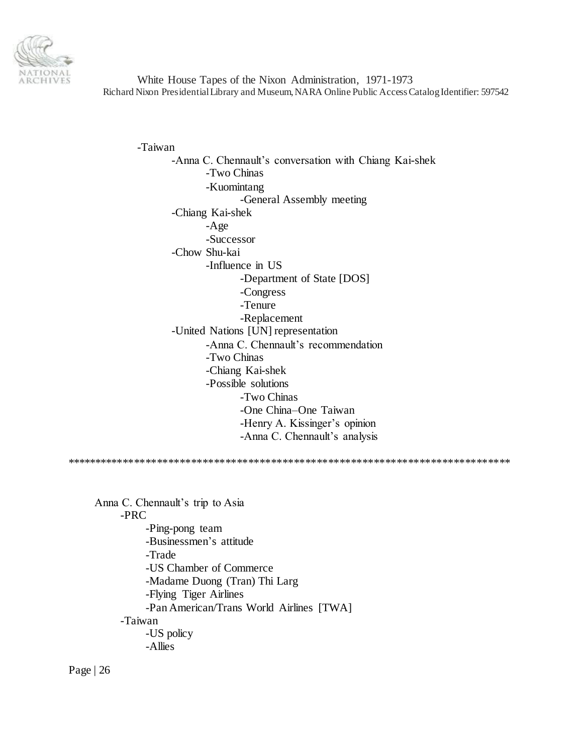

-Taiwan -Anna C. Chennault's conversation with Chiang Kai-shek -Two Chinas -Kuomintang -General Assembly meeting -Chiang Kai-shek -Age -Successor -Chow Shu-kai -Influence in US -Department of State [DOS] -Congress -Tenure -Replacement -United Nations [UN] representation -Anna C. Chennault's recommendation -Two Chinas -Chiang Kai-shek -Possible solutions -Two Chinas -One China–One Taiwan -Henry A. Kissinger's opinion -Anna C. Chennault's analysis \*\*\*\*\*\*\*\*\*\*\*\*\*\*\*\*\*\*\*\*\*\*\*\*\*\*\*\*\*\*\*\*\*\*\*\*\*\*\*\*\*\*\*\*\*\*\*\*\*\*\*\*\*\*\*\*\*\*\*\*\*\*\*\*\*\*\*\*\*\*\*\*\*\*\*\*\*\* Anna C. Chennault's trip to Asia -PRC -Ping-pong team -Businessmen's attitude -Trade -US Chamber of Commerce -Madame Duong (Tran) Thi Larg -Flying Tiger Airlines -Pan American/Trans World Airlines [TWA] -Taiwan -US policy -Allies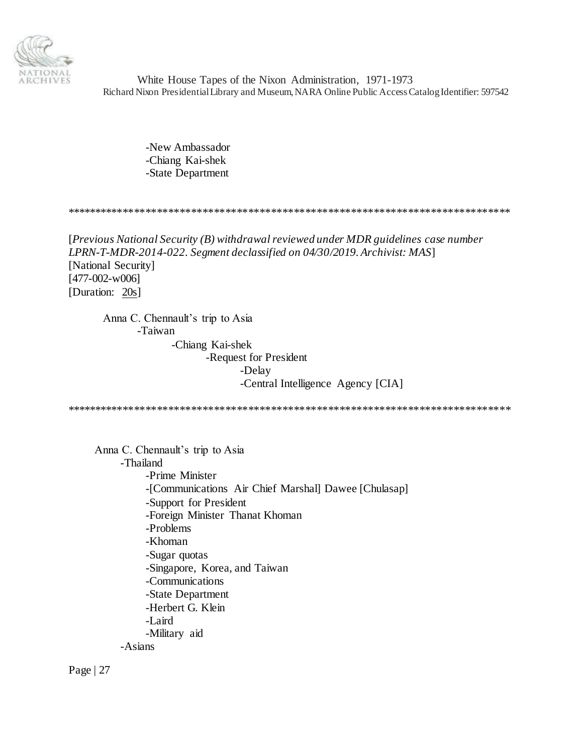

> -New Ambassador -Chiang Kai-shek -State Department

\*\*\*\*\*\*\*\*\*\*\*\*\*\*\*\*\*\*\*\*\*\*\*\*\*\*\*\*\*\*\*\*\*\*\*\*\*\*\*\*\*\*\*\*\*\*\*\*\*\*\*\*\*\*\*\*\*\*\*\*\*\*\*\*\*\*\*\*\*\*\*\*\*\*\*\*\*\*

[*Previous National Security (B) withdrawal reviewed under MDR guidelines case number LPRN-T-MDR-2014-022. Segment declassified on 04/30/2019. Archivist: MAS*] [National Security] [477-002-w006] [Duration: 20s]

Anna C. Chennault's trip to Asia -Taiwan

-Chiang Kai-shek -Request for President -Delay -Central Intelligence Agency [CIA]

\*\*\*\*\*\*\*\*\*\*\*\*\*\*\*\*\*\*\*\*\*\*\*\*\*\*\*\*\*\*\*\*\*\*\*\*\*\*\*\*\*\*\*\*\*\*\*\*\*\*\*\*\*\*\*\*\*\*\*\*\*\*\*\*\*\*\*\*\*\*\*\*\*\*\*\*\*\*

Anna C. Chennault's trip to Asia -Thailand -Prime Minister -[Communications Air Chief Marshal] Dawee [Chulasap] -Support for President -Foreign Minister Thanat Khoman -Problems -Khoman -Sugar quotas -Singapore, Korea, and Taiwan -Communications -State Department -Herbert G. Klein -Laird -Military aid -Asians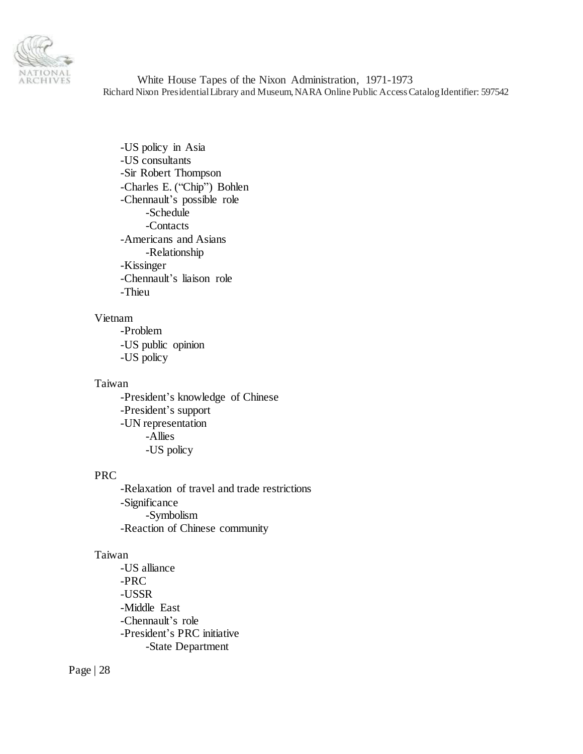

-US policy in Asia -US consultants -Sir Robert Thompson -Charles E. ("Chip") Bohlen -Chennault's possible role -Schedule -Contacts -Americans and Asians -Relationship -Kissinger -Chennault's liaison role -Thieu

#### Vietnam

-Problem -US public opinion -US policy

# Taiwan

-President's knowledge of Chinese -President's support -UN representation -Allies -US policy

### PRC

-Relaxation of travel and trade restrictions -Significance -Symbolism -Reaction of Chinese community

### Taiwan

-US alliance -PRC -USSR -Middle East -Chennault's role -President's PRC initiative -State Department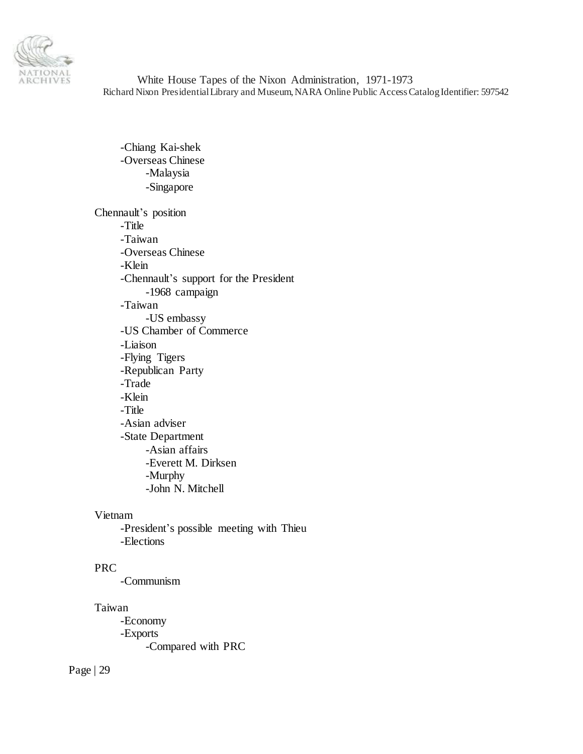

-Chiang Kai-shek -Overseas Chinese -Malaysia -Singapore

Chennault's position -Title -Taiwan -Overseas Chinese -Klein -Chennault's support for the President -1968 campaign -Taiwan -US embassy -US Chamber of Commerce -Liaison -Flying Tigers -Republican Party -Trade -Klein -Title -Asian adviser -State Department -Asian affairs -Everett M. Dirksen -Murphy -John N. Mitchell

### Vietnam

-President's possible meeting with Thieu -Elections

# PRC

-Communism

# Taiwan

-Economy -Exports -Compared with PRC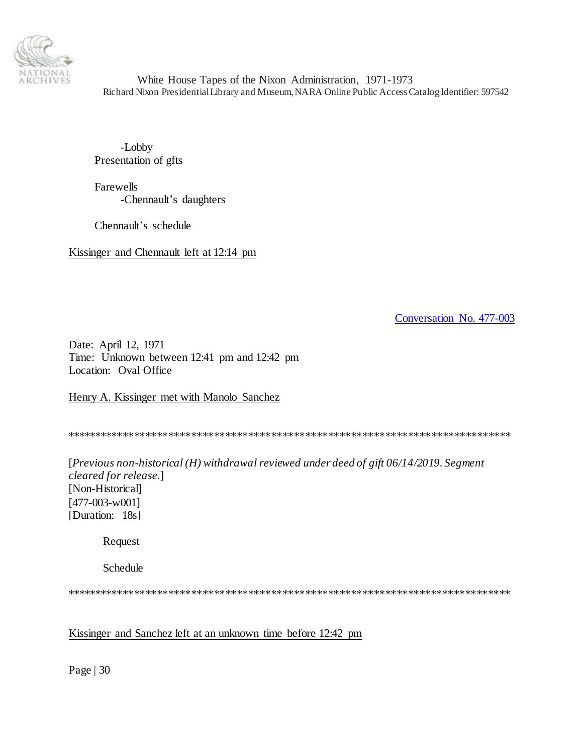

-Lobby Presentation of gfts

Farewells -Chennault's daughters

Chennault's schedule

Kissinger and Chennault left at 12:14 pm

<span id="page-29-0"></span>[Conversation No. 477-003](#page-0-1)

Date: April 12, 1971 Time: Unknown between 12:41 pm and 12:42 pm Location: Oval Office

Henry A. Kissinger met with Manolo Sanchez

\*\*\*\*\*\*\*\*\*\*\*\*\*\*\*\*\*\*\*\*\*\*\*\*\*\*\*\*\*\*\*\*\*\*\*\*\*\*\*\*\*\*\*\*\*\*\*\*\*\*\*\*\*\*\*\*\*\*\*\*\*\*\*\*\*\*\*\*\*\*\*\*\*\*\*\*\*\*

[*Previous non-historical (H) withdrawal reviewed under deed of gift 06/14/2019. Segment cleared for release*.] [Non-Historical] [477-003-w001] [Duration: 18s]

Request

Schedule

\*\*\*\*\*\*\*\*\*\*\*\*\*\*\*\*\*\*\*\*\*\*\*\*\*\*\*\*\*\*\*\*\*\*\*\*\*\*\*\*\*\*\*\*\*\*\*\*\*\*\*\*\*\*\*\*\*\*\*\*\*\*\*\*\*\*\*\*\*\*\*\*\*\*\*\*\*\*

Kissinger and Sanchez left at an unknown time before 12:42 pm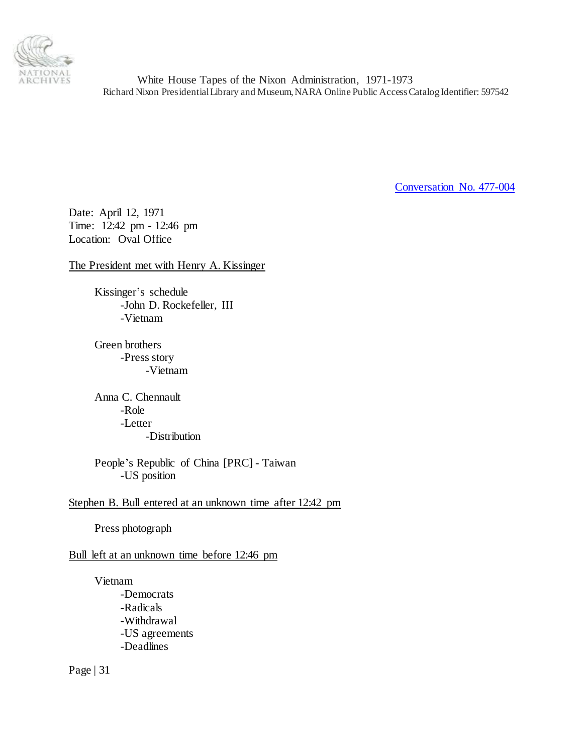

<span id="page-30-0"></span>[Conversation No. 477-004](#page-0-1)

Date: April 12, 1971 Time: 12:42 pm - 12:46 pm Location: Oval Office

The President met with Henry A. Kissinger

Kissinger's schedule -John D. Rockefeller, III -Vietnam

Green brothers -Press story -Vietnam

Anna C. Chennault -Role -Letter -Distribution

People's Republic of China [PRC] - Taiwan -US position

Stephen B. Bull entered at an unknown time after 12:42 pm

Press photograph

Bull left at an unknown time before 12:46 pm

Vietnam -Democrats -Radicals -Withdrawal -US agreements -Deadlines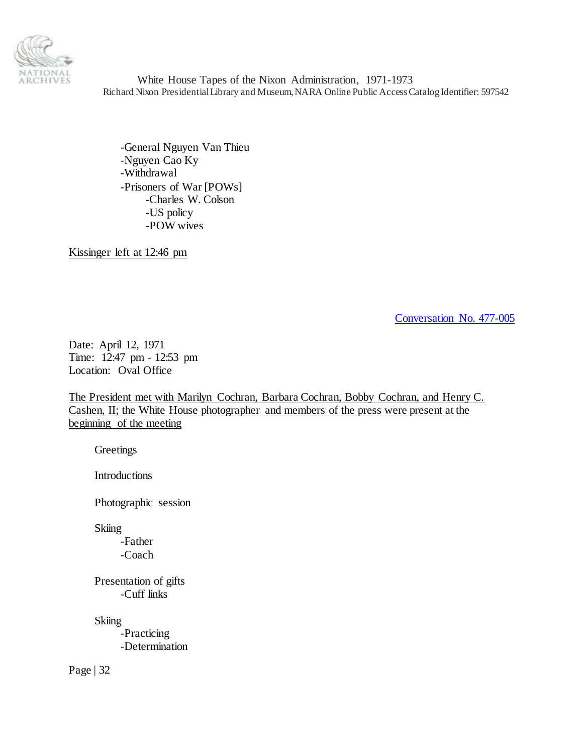

-General Nguyen Van Thieu -Nguyen Cao Ky -Withdrawal -Prisoners of War [POWs] -Charles W. Colson -US policy -POW wives

Kissinger left at 12:46 pm

<span id="page-31-0"></span>[Conversation No. 477-005](#page-0-1)

Date: April 12, 1971 Time: 12:47 pm - 12:53 pm Location: Oval Office

The President met with Marilyn Cochran, Barbara Cochran, Bobby Cochran, and Henry C. Cashen, II; the White House photographer and members of the press were present at the beginning of the meeting

**Greetings** 

Introductions

Photographic session

**Skiing** 

-Father -Coach

Presentation of gifts -Cuff links

**Skiing** 

-Practicing -Determination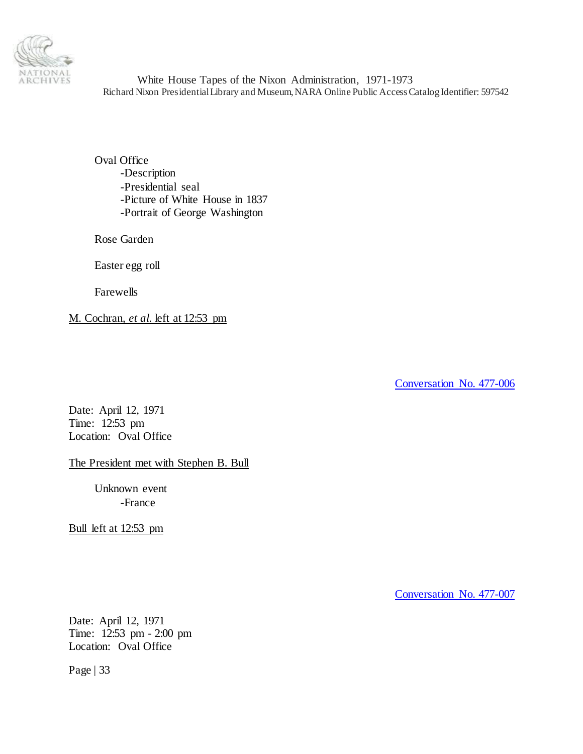

Oval Office -Description -Presidential seal -Picture of White House in 1837 -Portrait of George Washington

Rose Garden

Easter egg roll

Farewells

M. Cochran, *et al.* left at 12:53 pm

<span id="page-32-0"></span>[Conversation No. 477-006](#page-0-1)

Date: April 12, 1971 Time: 12:53 pm Location: Oval Office

The President met with Stephen B. Bull

Unknown event -France

Bull left at 12:53 pm

<span id="page-32-1"></span>[Conversation No. 477-007](#page-0-1)

Date: April 12, 1971 Time: 12:53 pm - 2:00 pm Location: Oval Office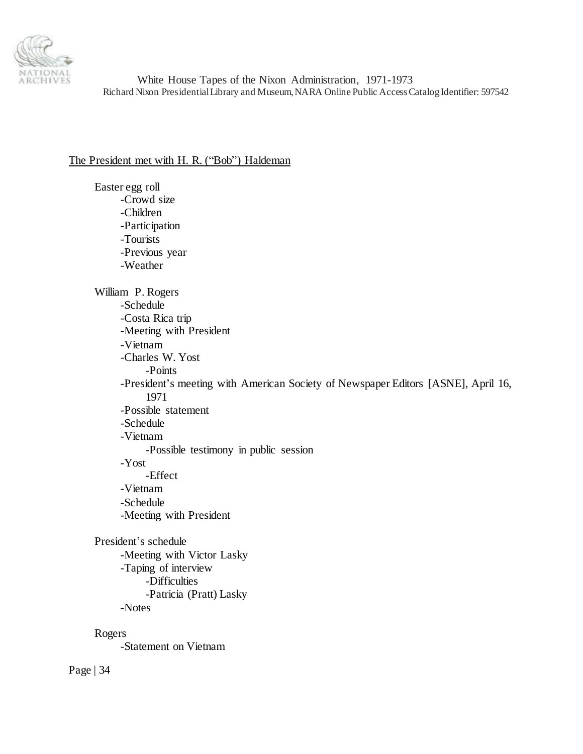

# The President met with H. R. ("Bob") Haldeman

Easter egg roll -Crowd size -Children -Participation -Tourists -Previous year -Weather William P. Rogers -Schedule -Costa Rica trip -Meeting with President -Vietnam -Charles W. Yost -Points -President's meeting with American Society of Newspaper Editors [ASNE], April 16, 1971 -Possible statement -Schedule -Vietnam -Possible testimony in public session -Yost -Effect -Vietnam -Schedule -Meeting with President President's schedule -Meeting with Victor Lasky -Taping of interview -Difficulties -Patricia (Pratt) Lasky -Notes Rogers

-Statement on Vietnam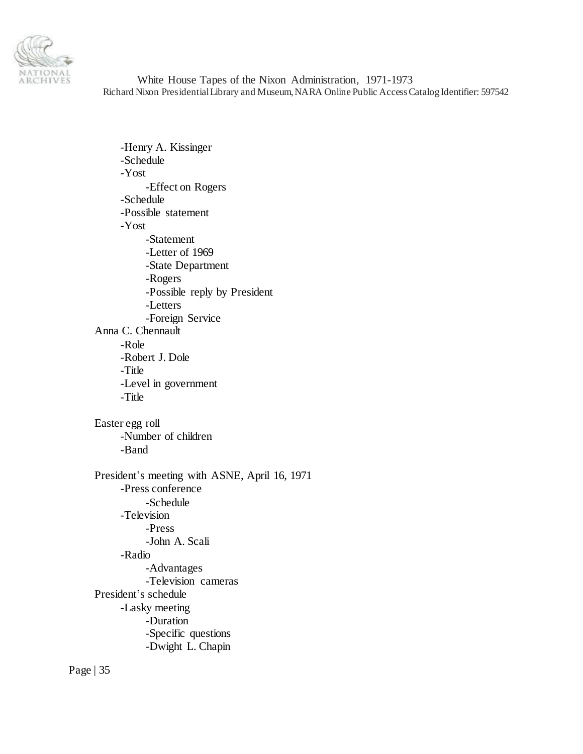

-Henry A. Kissinger -Schedule -Yost -Effect on Rogers -Schedule -Possible statement -Yost -Statement -Letter of 1969 -State Department -Rogers -Possible reply by President -Letters -Foreign Service Anna C. Chennault -Role -Robert J. Dole -Title -Level in government -Title Easter egg roll -Number of children -Band President's meeting with ASNE, April 16, 1971 -Press conference -Schedule -Television -Press -John A. Scali -Radio -Advantages -Television cameras President's schedule -Lasky meeting -Duration -Specific questions -Dwight L. Chapin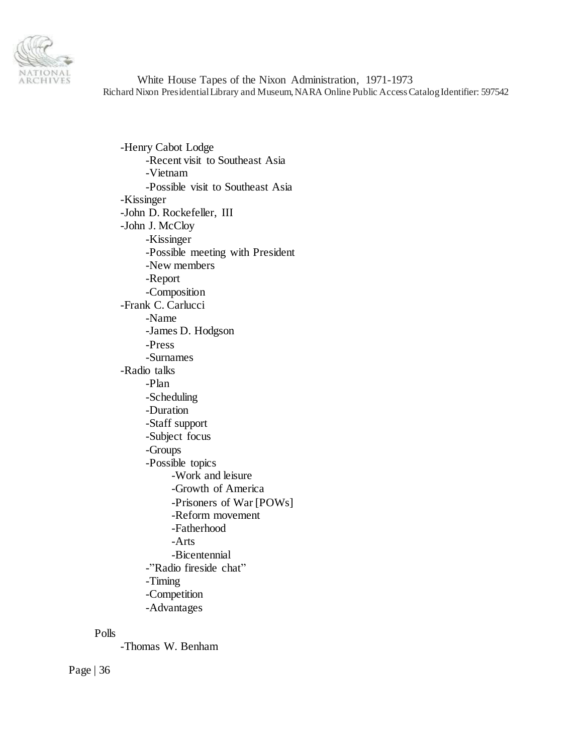

-Henry Cabot Lodge -Recent visit to Southeast Asia -Vietnam -Possible visit to Southeast Asia -Kissinger -John D. Rockefeller, III -John J. McCloy -Kissinger -Possible meeting with President -New members -Report -Composition -Frank C. Carlucci -Name -James D. Hodgson -Press -Surnames -Radio talks -Plan -Scheduling -Duration -Staff support -Subject focus -Groups -Possible topics -Work and leisure -Growth of America -Prisoners of War [POWs] -Reform movement -Fatherhood -Arts -Bicentennial -"Radio fireside chat" -Timing -Competition -Advantages

### Polls

-Thomas W. Benham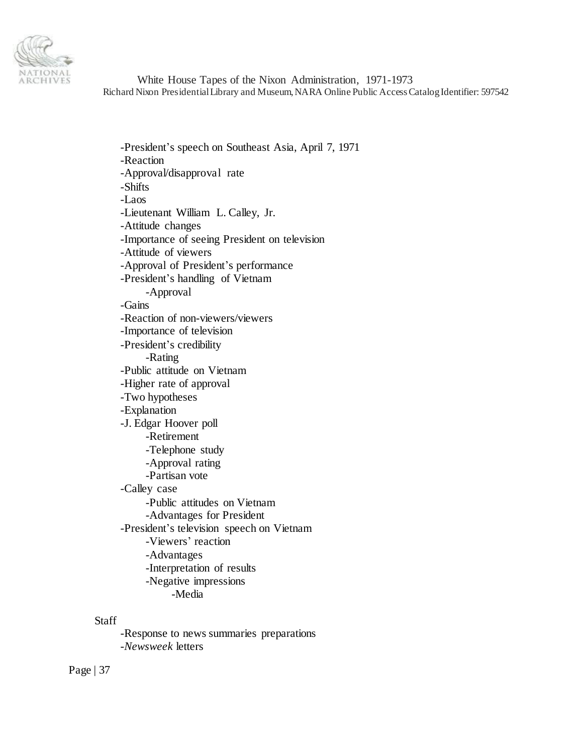

-President's speech on Southeast Asia, April 7, 1971 -Reaction -Approval/disapproval rate -Shifts -Laos -Lieutenant William L. Calley, Jr. -Attitude changes -Importance of seeing President on television -Attitude of viewers -Approval of President's performance -President's handling of Vietnam -Approval -Gains -Reaction of non-viewers/viewers -Importance of television -President's credibility -Rating -Public attitude on Vietnam -Higher rate of approval -Two hypotheses -Explanation -J. Edgar Hoover poll -Retirement -Telephone study -Approval rating -Partisan vote -Calley case -Public attitudes on Vietnam -Advantages for President -President's television speech on Vietnam -Viewers' reaction -Advantages -Interpretation of results -Negative impressions -Media

Staff

-Response to news summaries preparations -*Newsweek* letters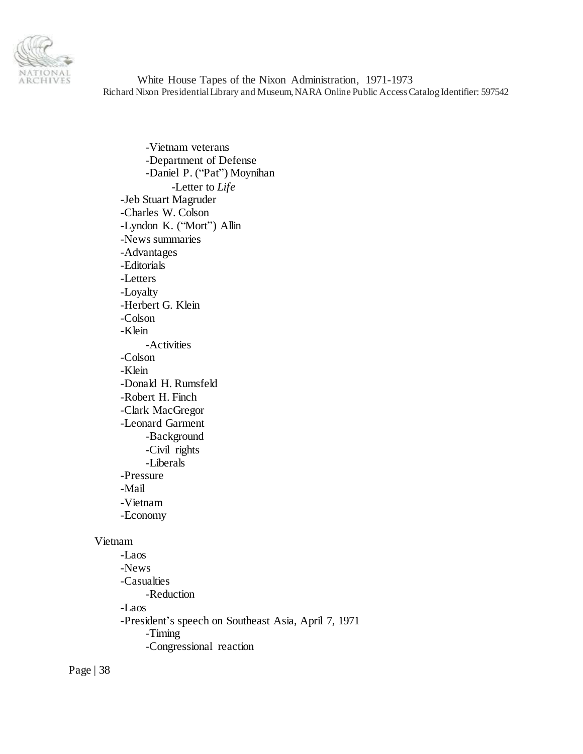

-Vietnam veterans -Department of Defense -Daniel P. ("Pat") Moynihan -Letter to *Life* -Jeb Stuart Magruder -Charles W. Colson -Lyndon K. ("Mort") Allin -News summaries -Advantages -Editorials -Letters -Loyalty -Herbert G. Klein -Colson -Klein -Activities -Colson -Klein -Donald H. Rumsfeld -Robert H. Finch -Clark MacGregor -Leonard Garment -Background -Civil rights -Liberals -Pressure -Mail -Vietnam -Economy Vietnam -Laos -News

-Casualties -Reduction -Laos -President's speech on Southeast Asia, April 7, 1971 -Timing -Congressional reaction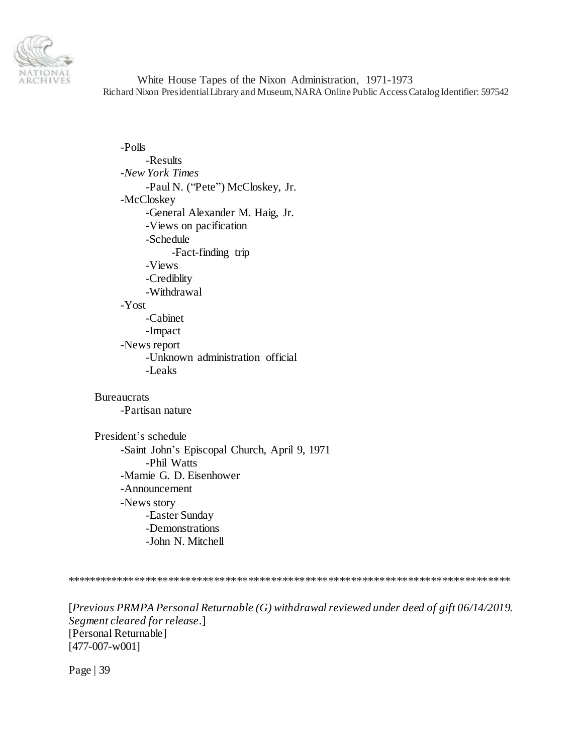

-Polls -Results -*New York Times* -Paul N. ("Pete") McCloskey, Jr. -McCloskey -General Alexander M. Haig, Jr. -Views on pacification -Schedule -Fact-finding trip -Views -Crediblity -Withdrawal -Yost -Cabinet -Impact -News report -Unknown administration official -Leaks

**Bureaucrats** -Partisan nature

President's schedule -Saint John's Episcopal Church, April 9, 1971 -Phil Watts -Mamie G. D. Eisenhower -Announcement -News story -Easter Sunday -Demonstrations -John N. Mitchell

\*\*\*\*\*\*\*\*\*\*\*\*\*\*\*\*\*\*\*\*\*\*\*\*\*\*\*\*\*\*\*\*\*\*\*\*\*\*\*\*\*\*\*\*\*\*\*\*\*\*\*\*\*\*\*\*\*\*\*\*\*\*\*\*\*\*\*\*\*\*\*\*\*\*\*\*\*\*

[*Previous PRMPA Personal Returnable (G) withdrawal reviewed under deed of gift 06/14/2019. Segment cleared for release*.] [Personal Returnable] [477-007-w001]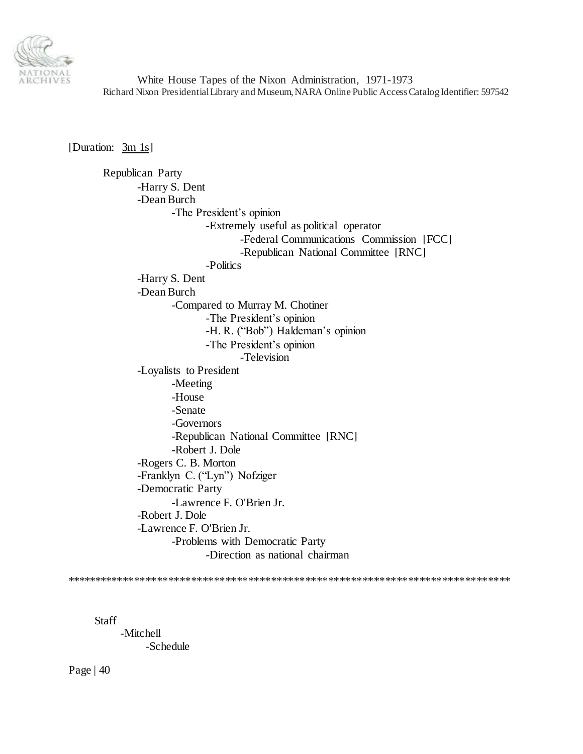

[Duration: 3m 1s]

Republican Party -Harry S. Dent -Dean Burch -The President's opinion -Extremely useful as political operator -Federal Communications Commission [FCC] -Republican National Committee [RNC] -Politics -Harry S. Dent -Dean Burch -Compared to Murray M. Chotiner -The President's opinion -H. R. ("Bob") Haldeman's opinion -The President's opinion -Television -Loyalists to President -Meeting -House -Senate -Governors -Republican National Committee [RNC] -Robert J. Dole -Rogers C. B. Morton -Franklyn C. ("Lyn") Nofziger -Democratic Party -Lawrence F. O'Brien Jr. -Robert J. Dole -Lawrence F. O'Brien Jr. -Problems with Democratic Party -Direction as national chairman

\*\*\*\*\*\*\*\*\*\*\*\*\*\*\*\*\*\*\*\*\*\*\*\*\*\*\*\*\*\*\*\*\*\*\*\*\*\*\*\*\*\*\*\*\*\*\*\*\*\*\*\*\*\*\*\*\*\*\*\*\*\*\*\*\*\*\*\*\*\*\*\*\*\*\*\*\*\*

Staff

-Mitchell -Schedule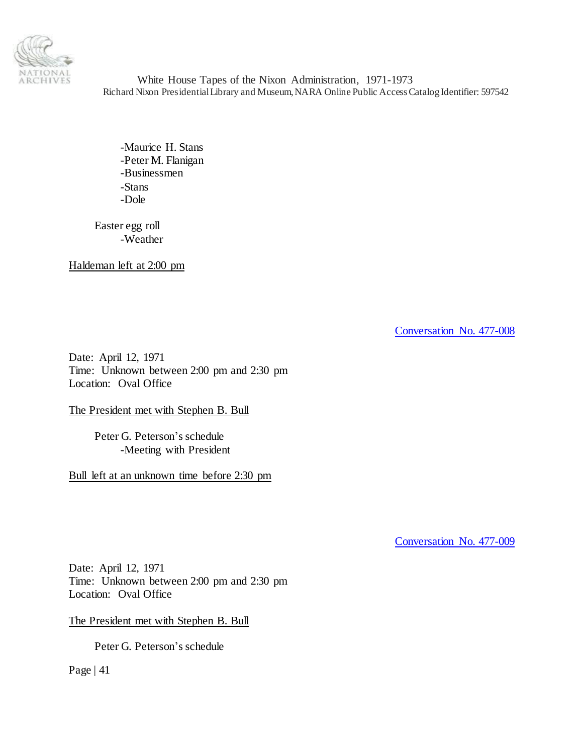

-Maurice H. Stans -Peter M. Flanigan -Businessmen -Stans -Dole

Easter egg roll -Weather

Haldeman left at 2:00 pm

[Conversation No. 477-008](#page-0-0)

Date: April 12, 1971 Time: Unknown between 2:00 pm and 2:30 pm Location: Oval Office

The President met with Stephen B. Bull

Peter G. Peterson's schedule -Meeting with President

Bull left at an unknown time before 2:30 pm

[Conversation No. 477-009](#page-0-0)

Date: April 12, 1971 Time: Unknown between 2:00 pm and 2:30 pm Location: Oval Office

The President met with Stephen B. Bull

Peter G. Peterson's schedule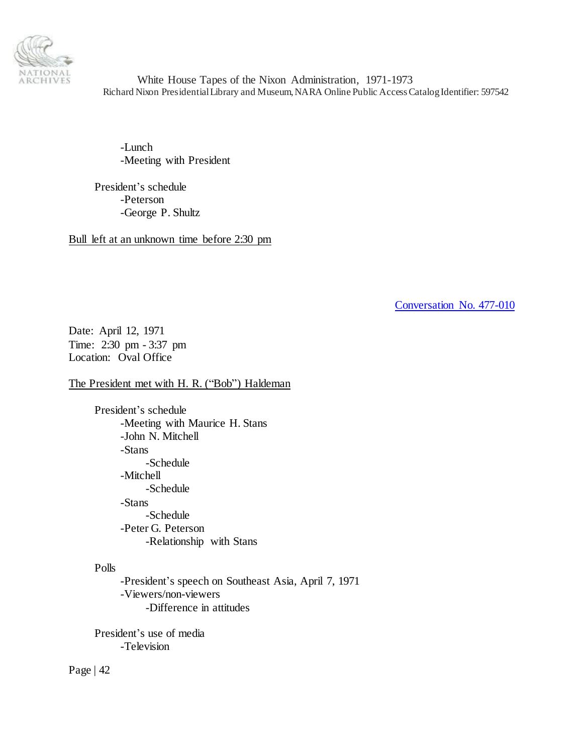

-Lunch -Meeting with President

President's schedule -Peterson -George P. Shultz

Bull left at an unknown time before 2:30 pm

[Conversation No. 477-010](#page-0-0)

Date: April 12, 1971 Time: 2:30 pm - 3:37 pm Location: Oval Office

The President met with H. R. ("Bob") Haldeman

President's schedule -Meeting with Maurice H. Stans -John N. Mitchell -Stans -Schedule -Mitchell -Schedule -Stans -Schedule -Peter G. Peterson -Relationship with Stans

# Polls

-President's speech on Southeast Asia, April 7, 1971 -Viewers/non-viewers -Difference in attitudes

President's use of media -Television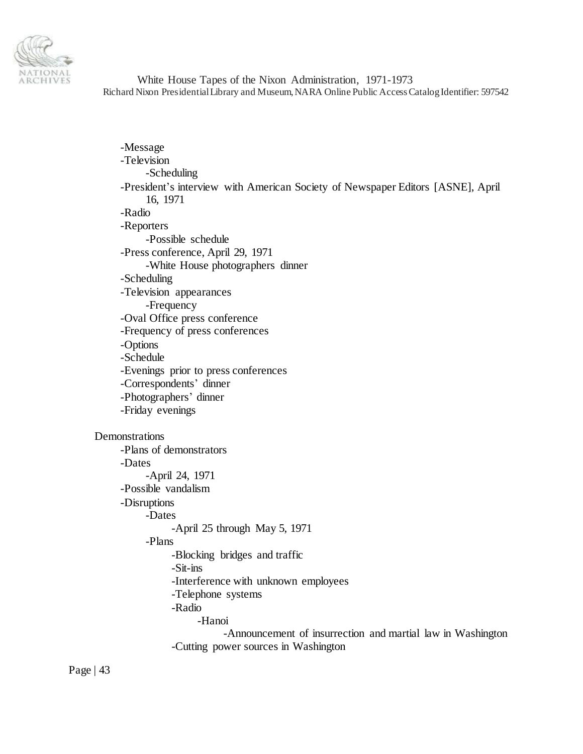

| -Message                                                                        |  |
|---------------------------------------------------------------------------------|--|
| -Television                                                                     |  |
| -Scheduling                                                                     |  |
| -President's interview with American Society of Newspaper Editors [ASNE], April |  |
| 16, 1971                                                                        |  |
| -Radio                                                                          |  |
| -Reporters                                                                      |  |
| -Possible schedule                                                              |  |
| -Press conference, April 29, 1971                                               |  |
| -White House photographers dinner                                               |  |
| -Scheduling                                                                     |  |
| -Television appearances                                                         |  |
| -Frequency                                                                      |  |
| -Oval Office press conference                                                   |  |
| -Frequency of press conferences                                                 |  |
| -Options                                                                        |  |
| -Schedule                                                                       |  |
| -Evenings prior to press conferences                                            |  |
| -Correspondents' dinner                                                         |  |
| -Photographers' dinner                                                          |  |
| -Friday evenings                                                                |  |
| Demonstrations                                                                  |  |
| -Plans of demonstrators                                                         |  |
| -Dates                                                                          |  |
| -April 24, 1971                                                                 |  |
| -Possible vandalism                                                             |  |
| -Disruptions                                                                    |  |
| -Dates                                                                          |  |
| -April 25 through May 5, 1971                                                   |  |
| -Plans                                                                          |  |
| -Blocking bridges and traffic                                                   |  |
| Sit-ins                                                                         |  |
| -Interference with unknown employees                                            |  |
| -Telephone systems                                                              |  |
| -Radio                                                                          |  |
| -Hanoi                                                                          |  |
| -Announcement of insurrection and martial law in Washington                     |  |
| -Cutting power sources in Washington                                            |  |
|                                                                                 |  |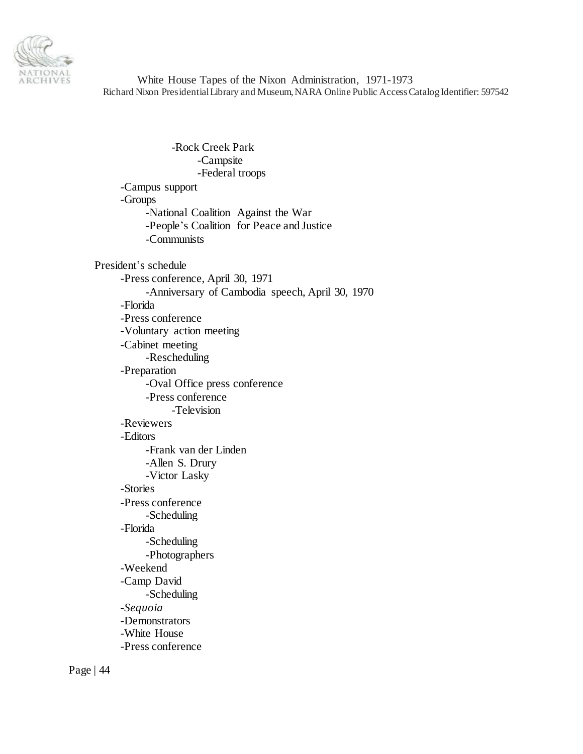

-Rock Creek Park -Campsite -Federal troops -Campus support -Groups -National Coalition Against the War -People's Coalition for Peace and Justice -Communists President's schedule -Press conference, April 30, 1971 -Anniversary of Cambodia speech, April 30, 1970 -Florida -Press conference -Voluntary action meeting -Cabinet meeting -Rescheduling -Preparation -Oval Office press conference -Press conference -Television -Reviewers -Editors -Frank van der Linden -Allen S. Drury -Victor Lasky -Stories -Press conference -Scheduling -Florida -Scheduling -Photographers -Weekend -Camp David -Scheduling -*Sequoia* -Demonstrators -White House -Press conference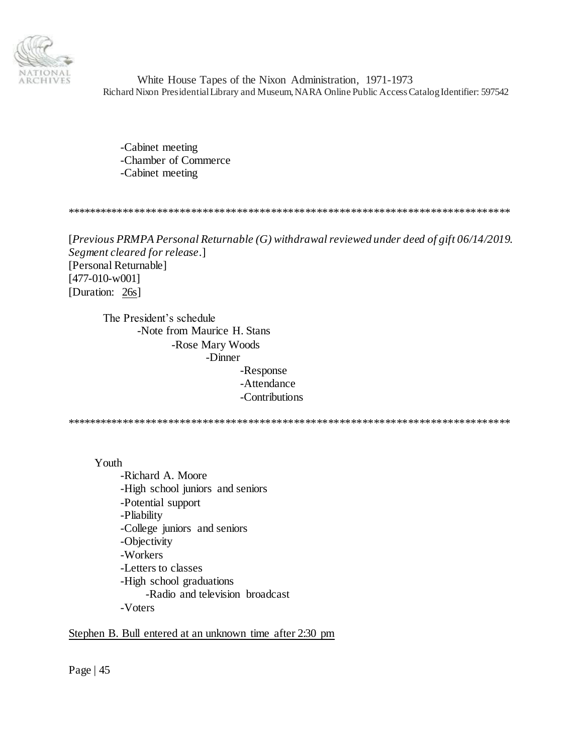

-Cabinet meeting -Chamber of Commerce -Cabinet meeting

\*\*\*\*\*\*\*\*\*\*\*\*\*\*\*\*\*\*\*\*\*\*\*\*\*\*\*\*\*\*\*\*\*\*\*\*\*\*\*\*\*\*\*\*\*\*\*\*\*\*\*\*\*\*\*\*\*\*\*\*\*\*\*\*\*\*\*\*\*\*\*\*\*\*\*\*\*\*

[*Previous PRMPA Personal Returnable (G) withdrawal reviewed under deed of gift 06/14/2019. Segment cleared for release*.] [Personal Returnable] [477-010-w001] [Duration: 26s]

The President's schedule -Note from Maurice H. Stans -Rose Mary Woods -Dinner -Response -Attendance -Contributions

\*\*\*\*\*\*\*\*\*\*\*\*\*\*\*\*\*\*\*\*\*\*\*\*\*\*\*\*\*\*\*\*\*\*\*\*\*\*\*\*\*\*\*\*\*\*\*\*\*\*\*\*\*\*\*\*\*\*\*\*\*\*\*\*\*\*\*\*\*\*\*\*\*\*\*\*\*\*

Youth

-Richard A. Moore -High school juniors and seniors -Potential support -Pliability -College juniors and seniors -Objectivity -Workers -Letters to classes -High school graduations -Radio and television broadcast -Voters

#### Stephen B. Bull entered at an unknown time after 2:30 pm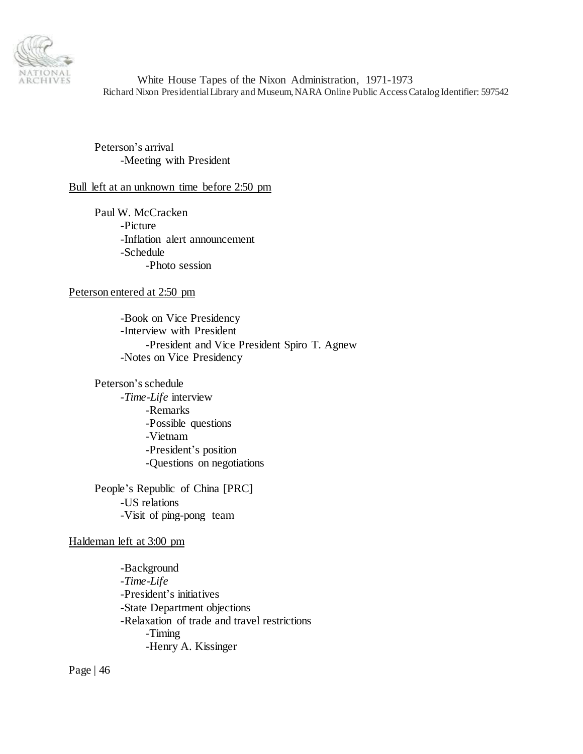

Peterson's arrival -Meeting with President

#### Bull left at an unknown time before 2:50 pm

Paul W. McCracken -Picture -Inflation alert announcement -Schedule -Photo session

#### Peterson entered at 2:50 pm

-Book on Vice Presidency -Interview with President -President and Vice President Spiro T. Agnew -Notes on Vice Presidency

Peterson's schedule

-*Time-Life* interview -Remarks -Possible questions -Vietnam -President's position -Questions on negotiations

People's Republic of China [PRC] -US relations -Visit of ping-pong team

#### Haldeman left at 3:00 pm

-Background -*Time-Life* -President's initiatives -State Department objections -Relaxation of trade and travel restrictions -Timing -Henry A. Kissinger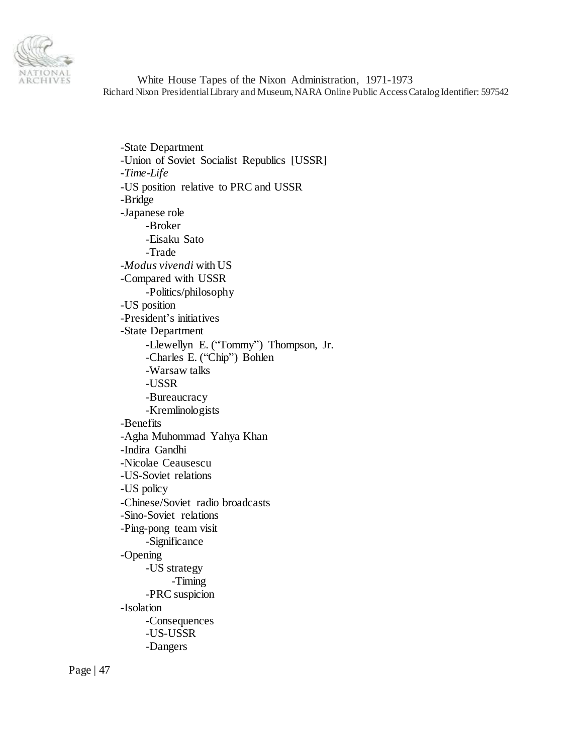

-State Department -Union of Soviet Socialist Republics [USSR] -*Time-Life* -US position relative to PRC and USSR -Bridge -Japanese role -Broker -Eisaku Sato -Trade -*Modus vivendi* with US -Compared with USSR -Politics/philosophy -US position -President's initiatives -State Department -Llewellyn E. ("Tommy") Thompson, Jr. -Charles E. ("Chip") Bohlen -Warsaw talks -USSR -Bureaucracy -Kremlinologists -Benefits -Agha Muhommad Yahya Khan -Indira Gandhi -Nicolae Ceausescu -US-Soviet relations -US policy -Chinese/Soviet radio broadcasts -Sino-Soviet relations -Ping-pong team visit -Significance -Opening -US strategy -Timing -PRC suspicion -Isolation -Consequences -US-USSR -Dangers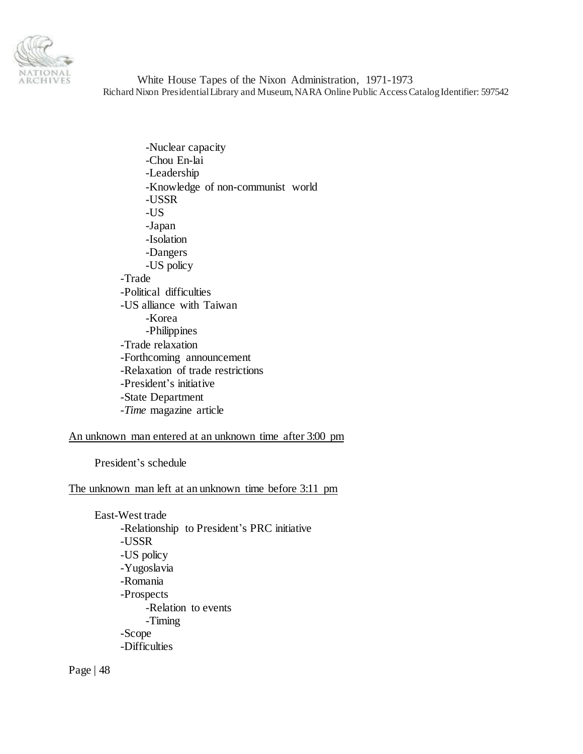

-Nuclear capacity -Chou En-lai -Leadership -Knowledge of non-communist world -USSR -US -Japan -Isolation -Dangers -US policy -Trade -Political difficulties -US alliance with Taiwan -Korea -Philippines -Trade relaxation -Forthcoming announcement -Relaxation of trade restrictions -President's initiative -State Department -*Time* magazine article

# An unknown man entered at an unknown time after 3:00 pm

President's schedule

### The unknown man left at an unknown time before 3:11 pm

East-West trade -Relationship to President's PRC initiative -USSR -US policy -Yugoslavia -Romania -Prospects -Relation to events -Timing -Scope -Difficulties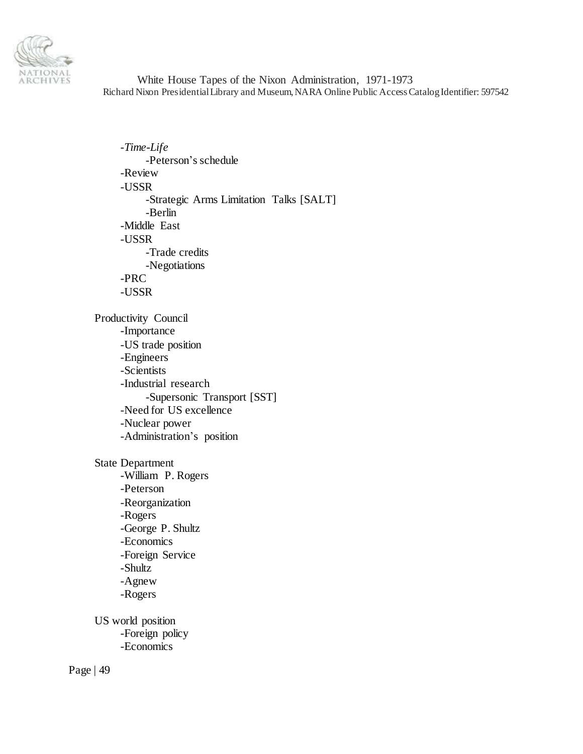

-*Time-Life* -Peterson's schedule -Review -USSR -Strategic Arms Limitation Talks [SALT] -Berlin -Middle East -USSR -Trade credits -Negotiations -PRC -USSR Productivity Council -Importance -US trade position -Engineers -Scientists -Industrial research -Supersonic Transport [SST] -Need for US excellence -Nuclear power -Administration's position State Department -William P. Rogers -Peterson -Reorganization -Rogers -George P. Shultz -Economics -Foreign Service -Shultz -Agnew -Rogers US world position -Foreign policy

-Economics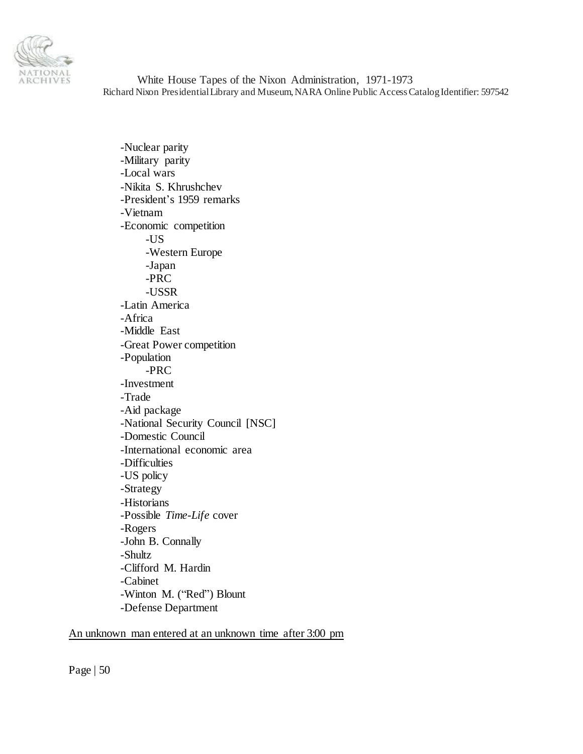

-Nuclear parity -Military parity -Local wars -Nikita S. Khrushchev -President's 1959 remarks -Vietnam -Economic competition -US -Western Europe -Japan -PRC -USSR -Latin America -Africa -Middle East -Great Power competition -Population -PRC -Investment -Trade -Aid package -National Security Council [NSC] -Domestic Council -International economic area -Difficulties -US policy -Strategy -Historians -Possible *Time-Life* cover -Rogers -John B. Connally -Shultz -Clifford M. Hardin -Cabinet -Winton M. ("Red") Blount -Defense Department

### An unknown man entered at an unknown time after 3:00 pm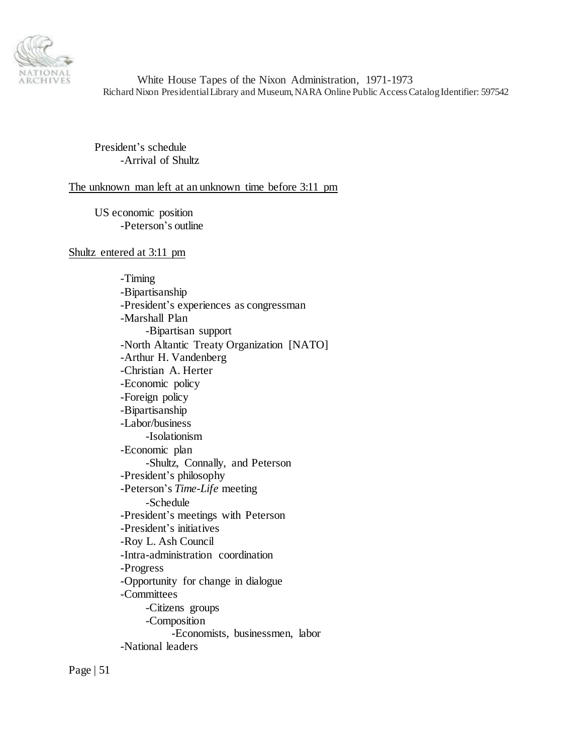

President's schedule -Arrival of Shultz

#### The unknown man left at an unknown time before 3:11 pm

US economic position -Peterson's outline

#### Shultz entered at 3:11 pm

-Timing -Bipartisanship -President's experiences as congressman -Marshall Plan -Bipartisan support -North Altantic Treaty Organization [NATO] -Arthur H. Vandenberg -Christian A. Herter -Economic policy -Foreign policy -Bipartisanship -Labor/business -Isolationism -Economic plan -Shultz, Connally, and Peterson -President's philosophy -Peterson's *Time-Life* meeting -Schedule -President's meetings with Peterson -President's initiatives -Roy L. Ash Council -Intra-administration coordination -Progress -Opportunity for change in dialogue -Committees -Citizens groups -Composition -Economists, businessmen, labor -National leaders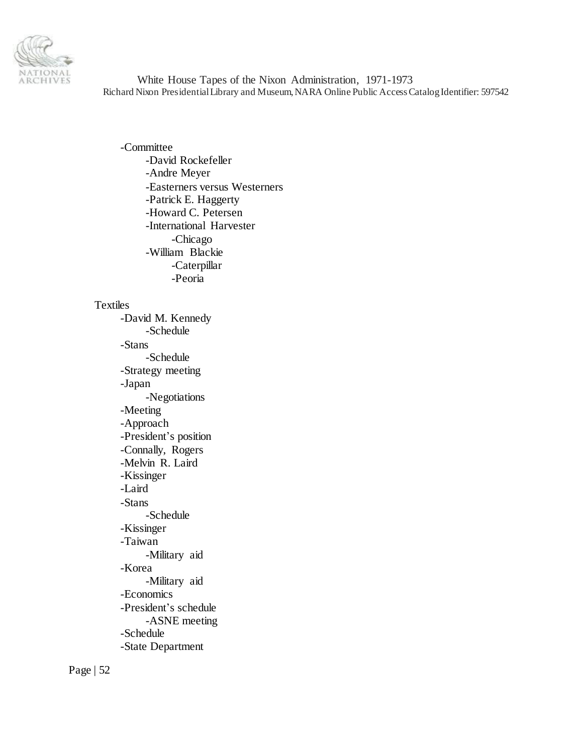

-Committee -David Rockefeller -Andre Meyer -Easterners versus Westerners -Patrick E. Haggerty -Howard C. Petersen -International Harvester -Chicago -William Blackie -Caterpillar -Peoria

# Textiles

-David M. Kennedy -Schedule -Stans -Schedule -Strategy meeting -Japan -Negotiations -Meeting -Approach -President's position -Connally, Rogers -Melvin R. Laird -Kissinger -Laird -Stans -Schedule -Kissinger -Taiwan -Military aid -Korea -Military aid -Economics -President's schedule -ASNE meeting -Schedule -State Department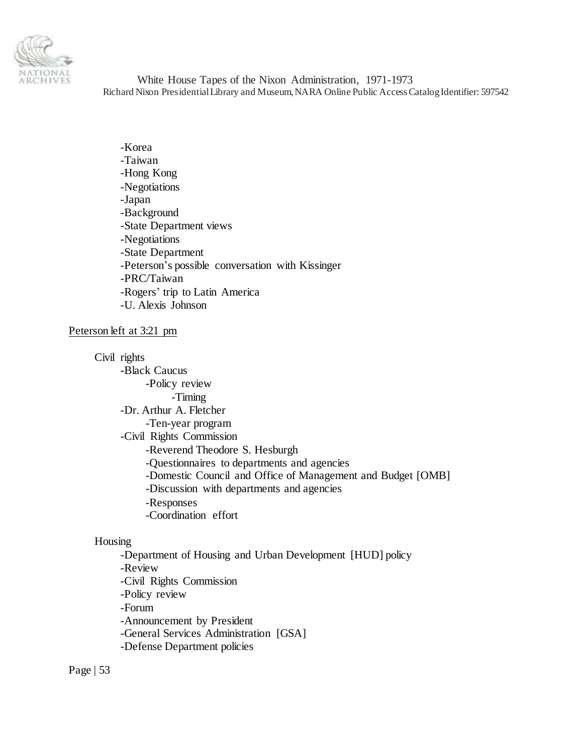

-Korea -Taiwan -Hong Kong -Negotiations -Japan -Background -State Department views -Negotiations -State Department -Peterson's possible conversation with Kissinger -PRC/Taiwan -Rogers' trip to Latin America -U. Alexis Johnson

#### Peterson left at 3:21 pm

Civil rights

-Black Caucus -Policy review -Timing -Dr. Arthur A. Fletcher -Ten-year program -Civil Rights Commission -Reverend Theodore S. Hesburgh -Questionnaires to departments and agencies -Domestic Council and Office of Management and Budget [OMB] -Discussion with departments and agencies -Responses -Coordination effort

#### Housing

-Department of Housing and Urban Development [HUD] policy -Review -Civil Rights Commission -Policy review -Forum -Announcement by President -General Services Administration [GSA] -Defense Department policies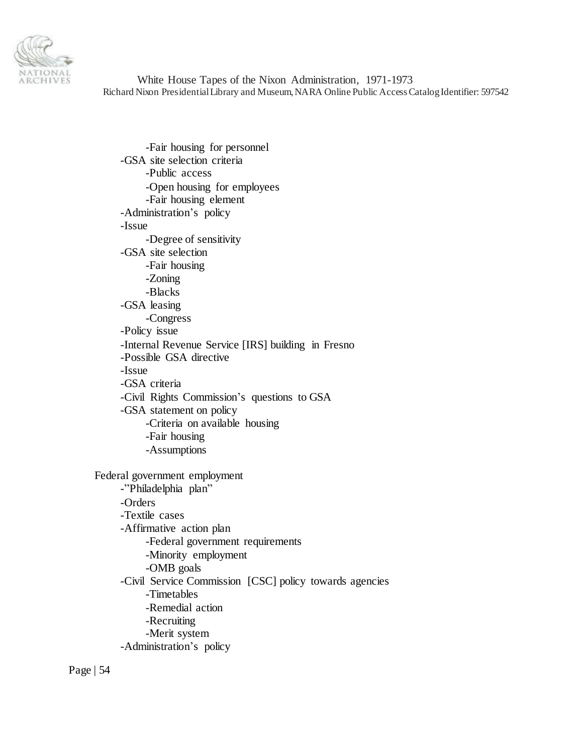

-Fair housing for personnel -GSA site selection criteria -Public access -Open housing for employees -Fair housing element -Administration's policy -Issue -Degree of sensitivity -GSA site selection -Fair housing -Zoning -Blacks -GSA leasing -Congress -Policy issue -Internal Revenue Service [IRS] building in Fresno -Possible GSA directive -Issue -GSA criteria -Civil Rights Commission's questions to GSA -GSA statement on policy -Criteria on available housing -Fair housing -Assumptions Federal government employment -"Philadelphia plan" -Orders -Textile cases -Affirmative action plan -Federal government requirements -Minority employment -OMB goals -Civil Service Commission [CSC] policy towards agencies -Timetables -Remedial action -Recruiting -Merit system -Administration's policy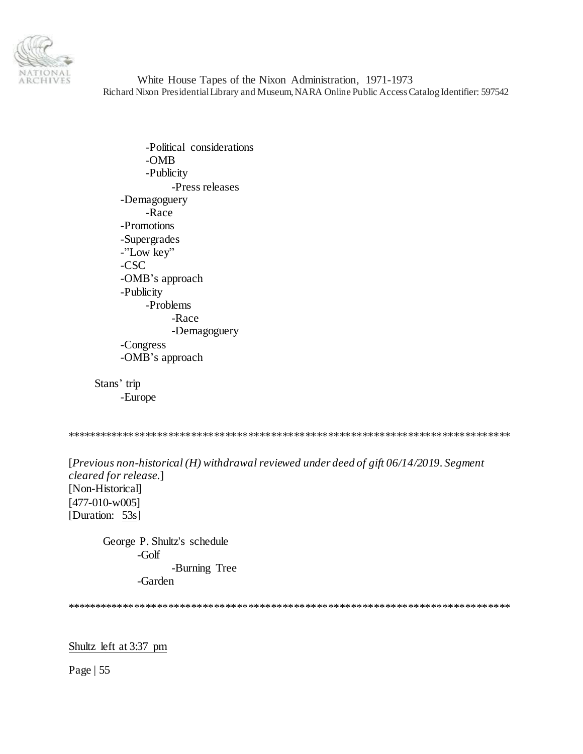

-Political considerations -OMB -Publicity -Press releases -Demagoguery -Race -Promotions -Supergrades -"Low key" -CSC -OMB's approach -Publicity -Problems -Race -Demagoguery -Congress -OMB's approach

Stans' trip -Europe

\*\*\*\*\*\*\*\*\*\*\*\*\*\*\*\*\*\*\*\*\*\*\*\*\*\*\*\*\*\*\*\*\*\*\*\*\*\*\*\*\*\*\*\*\*\*\*\*\*\*\*\*\*\*\*\*\*\*\*\*\*\*\*\*\*\*\*\*\*\*\*\*\*\*\*\*\*\*

[*Previous non-historical (H) withdrawal reviewed under deed of gift 06/14/2019. Segment cleared for release*.] [Non-Historical] [477-010-w005] [Duration: 53s]

George P. Shultz's schedule -Golf -Burning Tree -Garden

\*\*\*\*\*\*\*\*\*\*\*\*\*\*\*\*\*\*\*\*\*\*\*\*\*\*\*\*\*\*\*\*\*\*\*\*\*\*\*\*\*\*\*\*\*\*\*\*\*\*\*\*\*\*\*\*\*\*\*\*\*\*\*\*\*\*\*\*\*\*\*\*\*\*\*\*\*\*

### Shultz left at 3:37 pm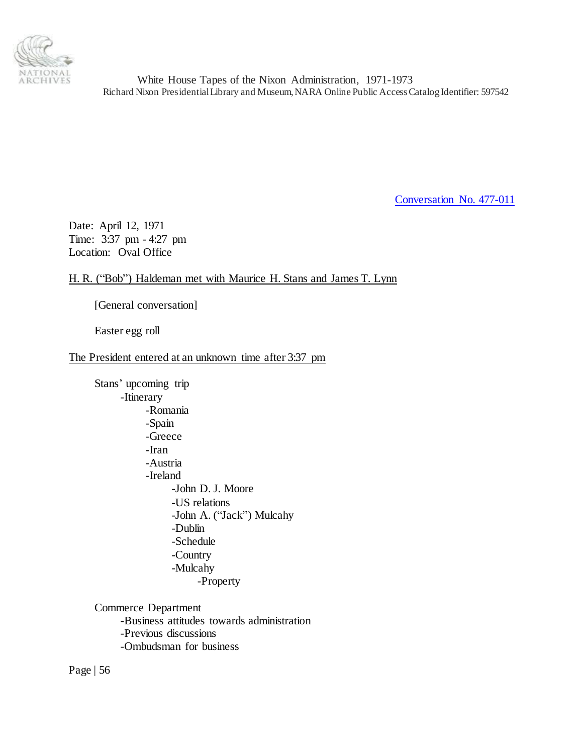

[Conversation No. 477-011](#page-0-0)

Date: April 12, 1971 Time: 3:37 pm - 4:27 pm Location: Oval Office

# H. R. ("Bob") Haldeman met with Maurice H. Stans and James T. Lynn

[General conversation]

Easter egg roll

### The President entered at an unknown time after 3:37 pm

Stans' upcoming trip -Itinerary -Romania -Spain -Greece -Iran -Austria -Ireland -John D. J. Moore -US relations -John A. ("Jack") Mulcahy -Dublin -Schedule -Country -Mulcahy -Property

Commerce Department -Business attitudes towards administration -Previous discussions -Ombudsman for business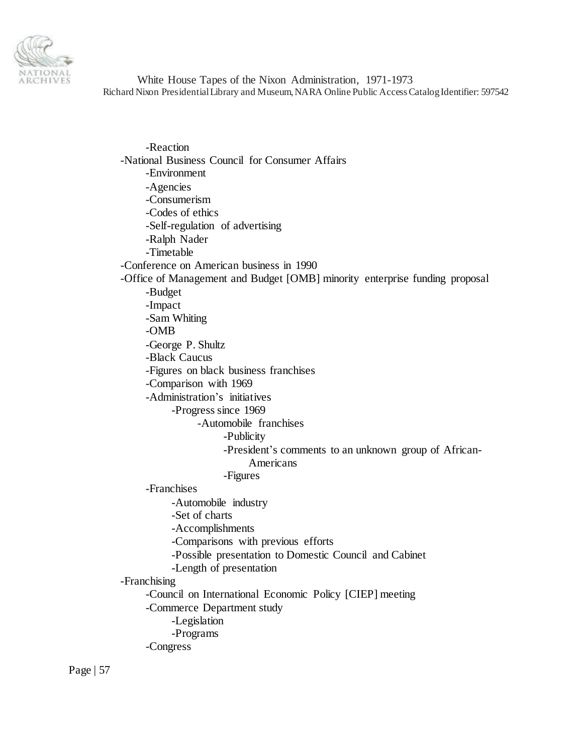

-Reaction -National Business Council for Consumer Affairs -Environment -Agencies -Consumerism -Codes of ethics -Self-regulation of advertising -Ralph Nader -Timetable -Conference on American business in 1990 -Office of Management and Budget [OMB] minority enterprise funding proposal -Budget -Impact -Sam Whiting -OMB -George P. Shultz -Black Caucus -Figures on black business franchises -Comparison with 1969 -Administration's initiatives -Progress since 1969 -Automobile franchises -Publicity -President's comments to an unknown group of African-Americans -Figures -Franchises -Automobile industry -Set of charts -Accomplishments -Comparisons with previous efforts -Possible presentation to Domestic Council and Cabinet -Length of presentation -Franchising -Council on International Economic Policy [CIEP] meeting -Commerce Department study -Legislation -Programs -Congress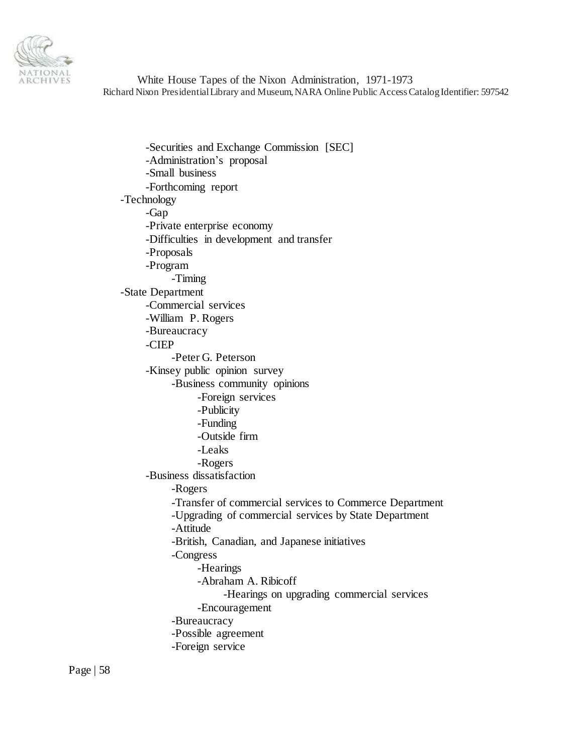

-Securities and Exchange Commission [SEC] -Administration's proposal -Small business -Forthcoming report -Technology -Gap -Private enterprise economy -Difficulties in development and transfer -Proposals -Program -Timing -State Department -Commercial services -William P. Rogers -Bureaucracy -CIEP -Peter G. Peterson -Kinsey public opinion survey -Business community opinions -Foreign services -Publicity -Funding -Outside firm -Leaks -Rogers -Business dissatisfaction -Rogers -Transfer of commercial services to Commerce Department -Upgrading of commercial services by State Department -Attitude -British, Canadian, and Japanese initiatives -Congress -Hearings -Abraham A. Ribicoff -Hearings on upgrading commercial services -Encouragement -Bureaucracy -Possible agreement -Foreign service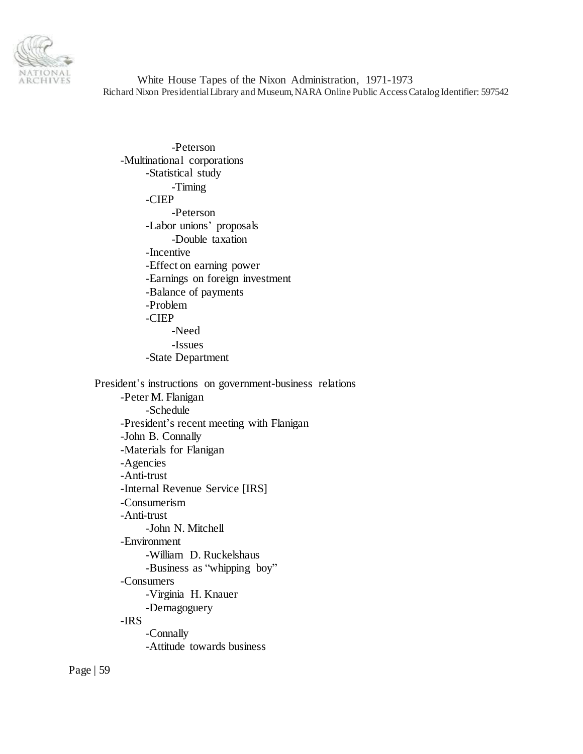

-Peterson -Multinational corporations -Statistical study -Timing -CIEP -Peterson -Labor unions' proposals -Double taxation -Incentive -Effect on earning power -Earnings on foreign investment -Balance of payments -Problem -CIEP -Need -Issues -State Department President's instructions on government-business relations -Peter M. Flanigan -Schedule -President's recent meeting with Flanigan -John B. Connally -Materials for Flanigan -Agencies -Anti-trust -Internal Revenue Service [IRS] -Consumerism -Anti-trust -John N. Mitchell -Environment -William D. Ruckelshaus -Business as "whipping boy" -Consumers -Virginia H. Knauer -Demagoguery -IRS

-Connally -Attitude towards business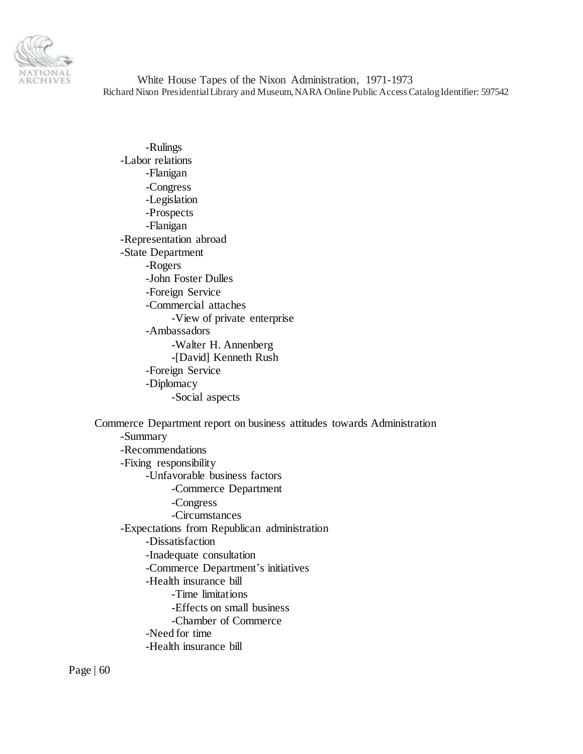

-Rulings -Labor relations -Flanigan -Congress -Legislation -Prospects -Flanigan -Representation abroad -State Department -Rogers -John Foster Dulles -Foreign Service -Commercial attaches -View of private enterprise -Ambassadors -Walter H. Annenberg -[David] Kenneth Rush -Foreign Service -Diplomacy -Social aspects

Commerce Department report on business attitudes towards Administration -Summary -Recommendations -Fixing responsibility -Unfavorable business factors -Commerce Department -Congress -Circumstances -Expectations from Republican administration -Dissatisfaction -Inadequate consultation -Commerce Department's initiatives -Health insurance bill -Time limitations -Effects on small business -Chamber of Commerce -Need for time -Health insurance bill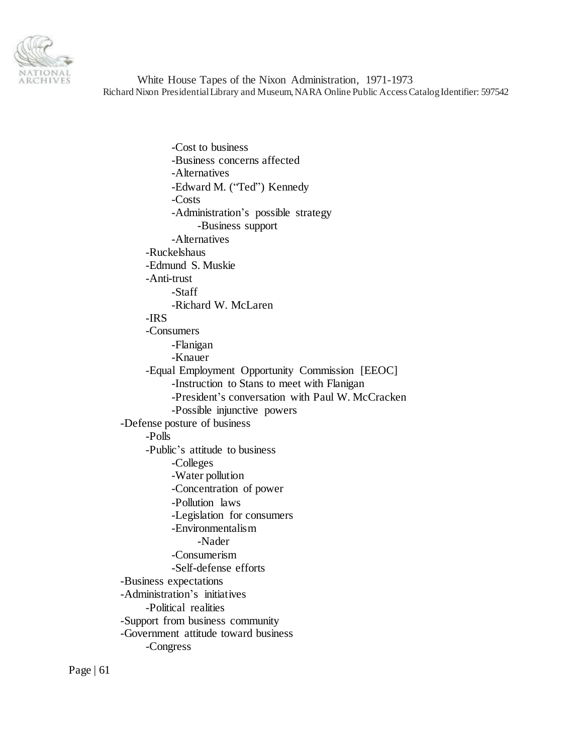

-Cost to business -Business concerns affected -Alternatives -Edward M. ("Ted") Kennedy -Costs -Administration's possible strategy -Business support -Alternatives -Ruckelshaus -Edmund S. Muskie -Anti-trust -Staff -Richard W. McLaren -IRS -Consumers -Flanigan -Knauer -Equal Employment Opportunity Commission [EEOC] -Instruction to Stans to meet with Flanigan -President's conversation with Paul W. McCracken -Possible injunctive powers -Defense posture of business -Polls -Public's attitude to business -Colleges -Water pollution -Concentration of power -Pollution laws -Legislation for consumers -Environmentalism -Nader -Consumerism -Self-defense efforts -Business expectations -Administration's initiatives -Political realities -Support from business community -Government attitude toward business -Congress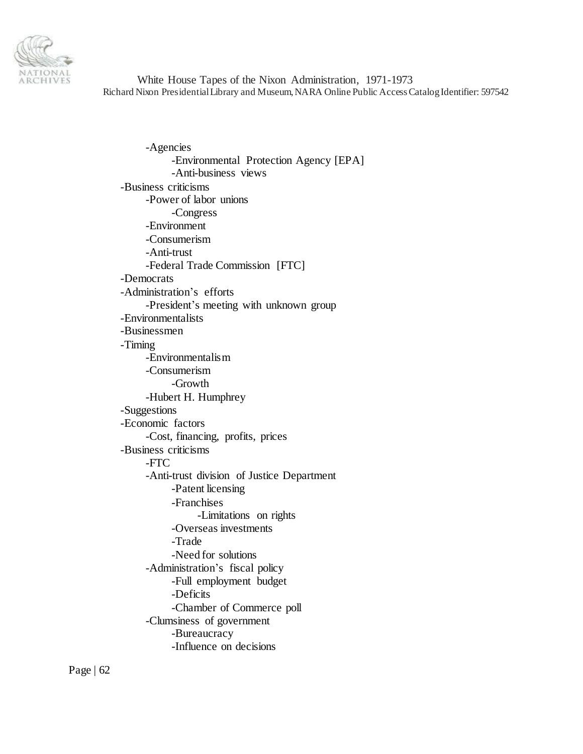

-Agencies -Environmental Protection Agency [EPA] -Anti-business views -Business criticisms -Power of labor unions -Congress -Environment -Consumerism -Anti-trust -Federal Trade Commission [FTC] -Democrats -Administration's efforts -President's meeting with unknown group -Environmentalists -Businessmen -Timing -Environmentalism -Consumerism -Growth -Hubert H. Humphrey -Suggestions -Economic factors -Cost, financing, profits, prices -Business criticisms -FTC -Anti-trust division of Justice Department -Patent licensing -Franchises -Limitations on rights -Overseas investments -Trade -Need for solutions -Administration's fiscal policy -Full employment budget -Deficits -Chamber of Commerce poll -Clumsiness of government -Bureaucracy -Influence on decisions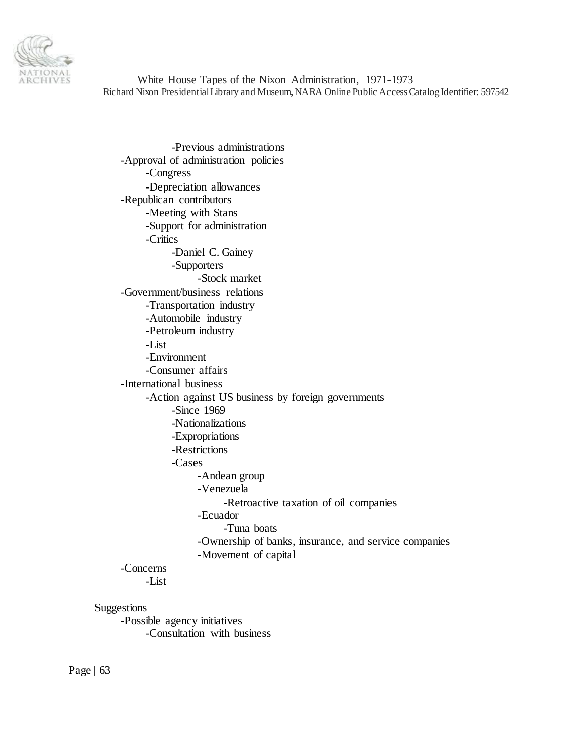

-Previous administrations -Approval of administration policies -Congress -Depreciation allowances -Republican contributors -Meeting with Stans -Support for administration -Critics -Daniel C. Gainey -Supporters -Stock market -Government/business relations -Transportation industry -Automobile industry -Petroleum industry -List -Environment -Consumer affairs -International business -Action against US business by foreign governments -Since 1969 -Nationalizations -Expropriations -Restrictions -Cases -Andean group -Venezuela -Retroactive taxation of oil companies -Ecuador -Tuna boats -Ownership of banks, insurance, and service companies -Movement of capital -Concerns -List

### Suggestions

-Possible agency initiatives -Consultation with business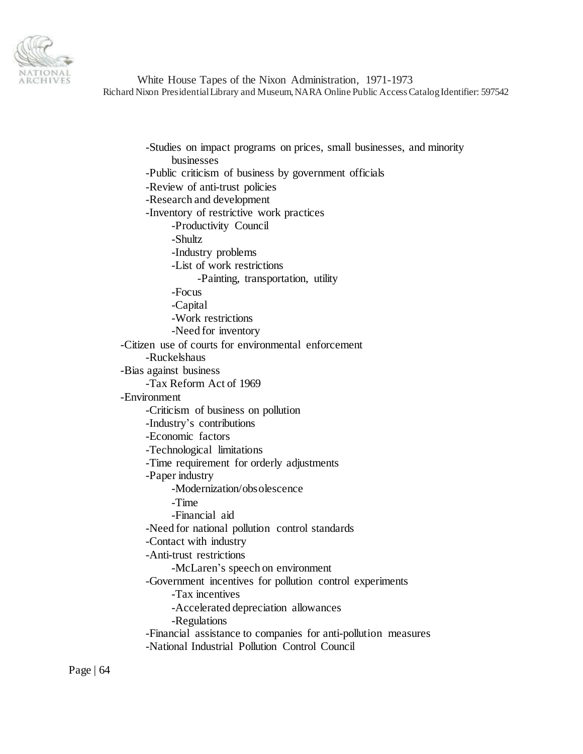

-Studies on impact programs on prices, small businesses, and minority businesses -Public criticism of business by government officials -Review of anti-trust policies -Research and development -Inventory of restrictive work practices -Productivity Council -Shultz -Industry problems -List of work restrictions -Painting, transportation, utility -Focus -Capital -Work restrictions -Need for inventory -Citizen use of courts for environmental enforcement -Ruckelshaus -Bias against business -Tax Reform Act of 1969 -Environment -Criticism of business on pollution -Industry's contributions -Economic factors -Technological limitations -Time requirement for orderly adjustments -Paper industry -Modernization/obsolescence -Time -Financial aid -Need for national pollution control standards -Contact with industry -Anti-trust restrictions -McLaren's speech on environment -Government incentives for pollution control experiments -Tax incentives -Accelerated depreciation allowances -Regulations -Financial assistance to companies for anti-pollution measures -National Industrial Pollution Control Council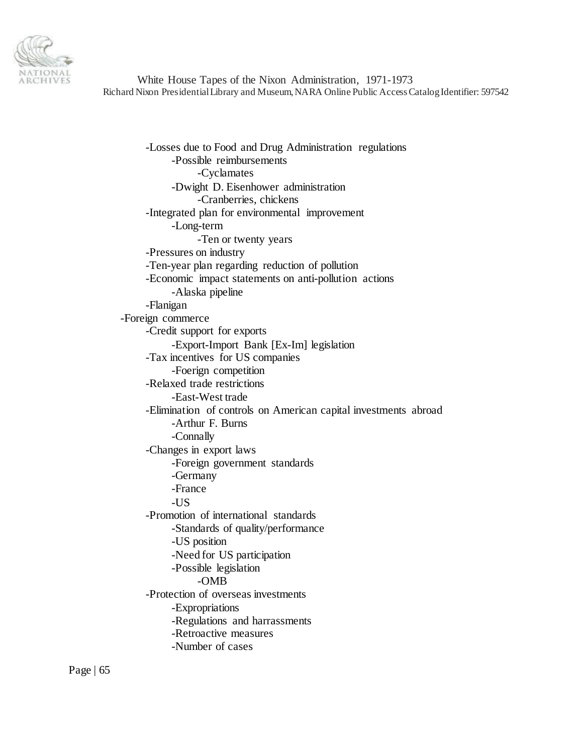

-Losses due to Food and Drug Administration regulations -Possible reimbursements -Cyclamates -Dwight D. Eisenhower administration -Cranberries, chickens -Integrated plan for environmental improvement -Long-term -Ten or twenty years -Pressures on industry -Ten-year plan regarding reduction of pollution -Economic impact statements on anti-pollution actions -Alaska pipeline -Flanigan -Foreign commerce -Credit support for exports -Export-Import Bank [Ex-Im] legislation -Tax incentives for US companies -Foerign competition -Relaxed trade restrictions -East-West trade -Elimination of controls on American capital investments abroad -Arthur F. Burns -Connally -Changes in export laws -Foreign government standards -Germany -France -US -Promotion of international standards -Standards of quality/performance -US position -Need for US participation -Possible legislation -OMB -Protection of overseas investments -Expropriations -Regulations and harrassments -Retroactive measures -Number of cases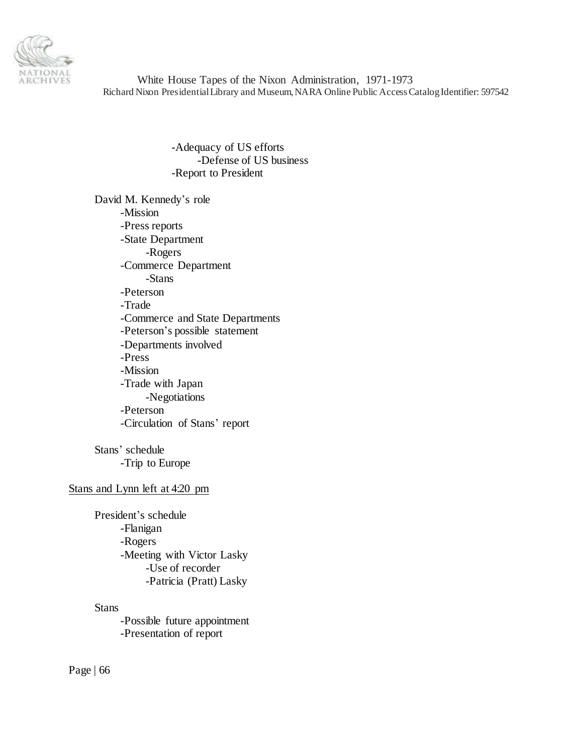

> -Adequacy of US efforts -Defense of US business -Report to President

David M. Kennedy's role -Mission -Press reports -State Department -Rogers -Commerce Department -Stans -Peterson -Trade -Commerce and State Departments -Peterson's possible statement -Departments involved -Press -Mission -Trade with Japan -Negotiations -Peterson -Circulation of Stans' report

Stans' schedule -Trip to Europe

# Stans and Lynn left at 4:20 pm

President's schedule -Flanigan -Rogers -Meeting with Victor Lasky -Use of recorder -Patricia (Pratt) Lasky

# **Stans**

-Possible future appointment -Presentation of report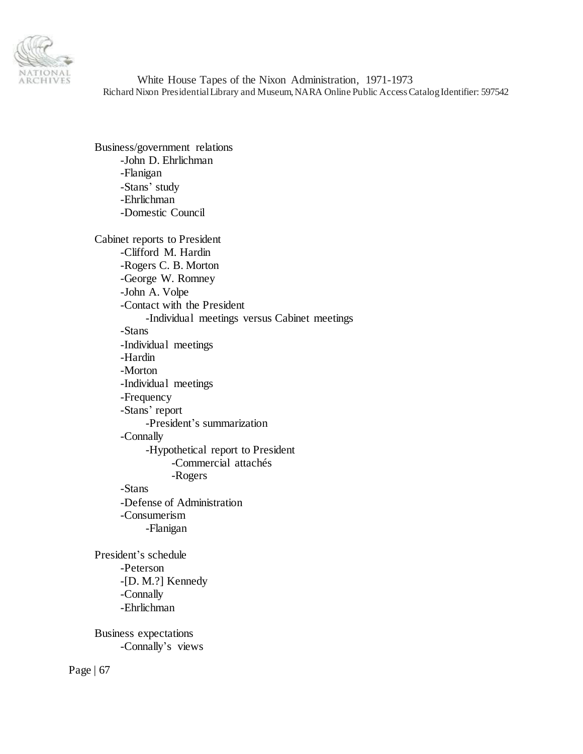

Business/government relations -John D. Ehrlichman -Flanigan -Stans' study -Ehrlichman -Domestic Council

Cabinet reports to President -Clifford M. Hardin -Rogers C. B. Morton -George W. Romney -John A. Volpe -Contact with the President -Individual meetings versus Cabinet meetings -Stans -Individual meetings -Hardin -Morton -Individual meetings -Frequency -Stans' report -President's summarization -Connally -Hypothetical report to President -Commercial attachés -Rogers -Stans -Defense of Administration -Consumerism -Flanigan President's schedule -Peterson -[D. M.?] Kennedy -Connally -Ehrlichman Business expectations -Connally's views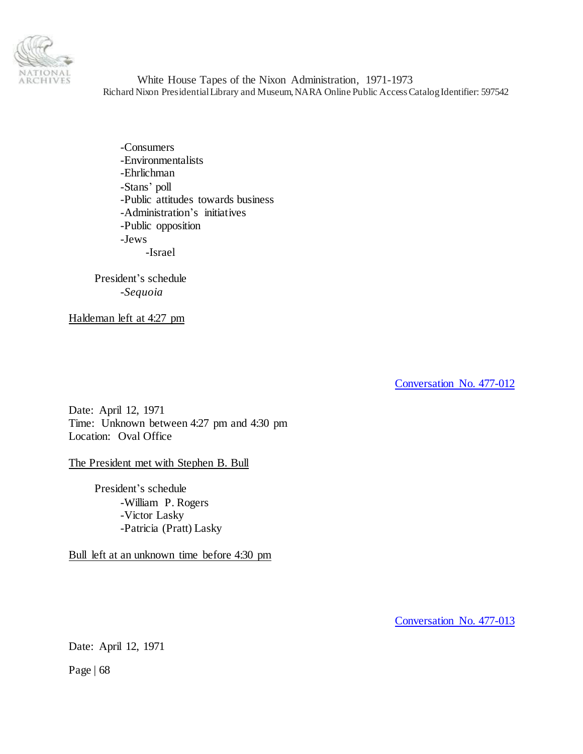

-Consumers -Environmentalists -Ehrlichman -Stans' poll -Public attitudes towards business -Administration's initiatives -Public opposition -Jews -Israel

President's schedule -*Sequoia*

Haldeman left at 4:27 pm

[Conversation No. 477-012](#page-0-0)

Date: April 12, 1971 Time: Unknown between 4:27 pm and 4:30 pm Location: Oval Office

# The President met with Stephen B. Bull

President's schedule -William P. Rogers -Victor Lasky -Patricia (Pratt) Lasky

Bull left at an unknown time before 4:30 pm

[Conversation No. 477-013](#page-0-0)

Date: April 12, 1971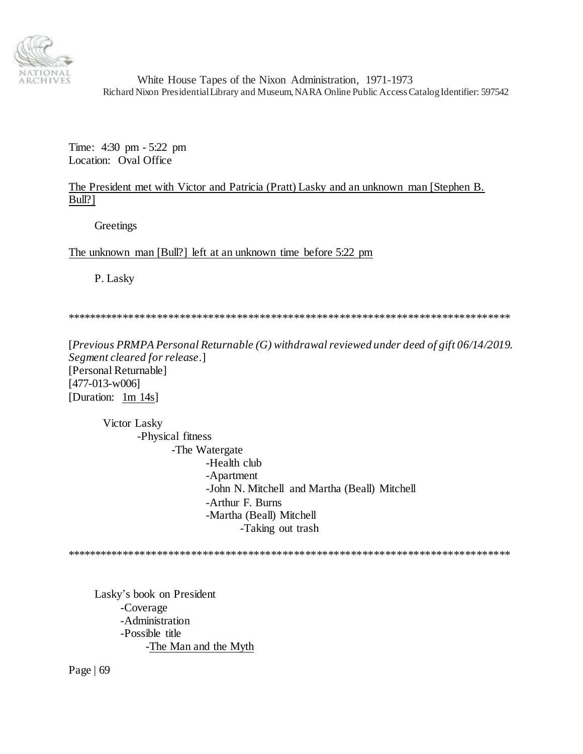

Time: 4:30 pm - 5:22 pm Location: Oval Office

# The President met with Victor and Patricia (Pratt) Lasky and an unknown man [Stephen B. Bull?]

**Greetings** 

The unknown man [Bull?] left at an unknown time before 5:22 pm

P. Lasky

\*\*\*\*\*\*\*\*\*\*\*\*\*\*\*\*\*\*\*\*\*\*\*\*\*\*\*\*\*\*\*\*\*\*\*\*\*\*\*\*\*\*\*\*\*\*\*\*\*\*\*\*\*\*\*\*\*\*\*\*\*\*\*\*\*\*\*\*\*\*\*\*\*\*\*\*\*\*

[*Previous PRMPA Personal Returnable (G) withdrawal reviewed under deed of gift 06/14/2019. Segment cleared for release*.] [Personal Returnable] [477-013-w006] [Duration: 1m 14s]

Victor Lasky -Physical fitness -The Watergate -Health club -Apartment -John N. Mitchell and Martha (Beall) Mitchell -Arthur F. Burns -Martha (Beall) Mitchell -Taking out trash

\*\*\*\*\*\*\*\*\*\*\*\*\*\*\*\*\*\*\*\*\*\*\*\*\*\*\*\*\*\*\*\*\*\*\*\*\*\*\*\*\*\*\*\*\*\*\*\*\*\*\*\*\*\*\*\*\*\*\*\*\*\*\*\*\*\*\*\*\*\*\*\*\*\*\*\*\*\*

Lasky's book on President -Coverage -Administration -Possible title -The Man and the Myth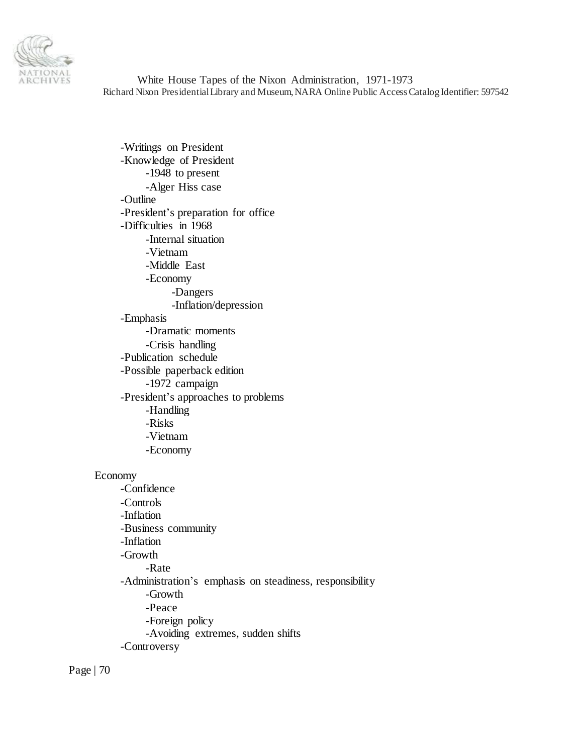

-Writings on President -Knowledge of President -1948 to present -Alger Hiss case -Outline -President's preparation for office -Difficulties in 1968 -Internal situation -Vietnam -Middle East -Economy -Dangers -Inflation/depression -Emphasis -Dramatic moments -Crisis handling -Publication schedule -Possible paperback edition -1972 campaign -President's approaches to problems -Handling -Risks -Vietnam -Economy

### Economy

-Confidence -Controls -Inflation -Business community -Inflation -Growth -Rate -Administration's emphasis on steadiness, responsibility -Growth -Peace -Foreign policy -Avoiding extremes, sudden shifts -Controversy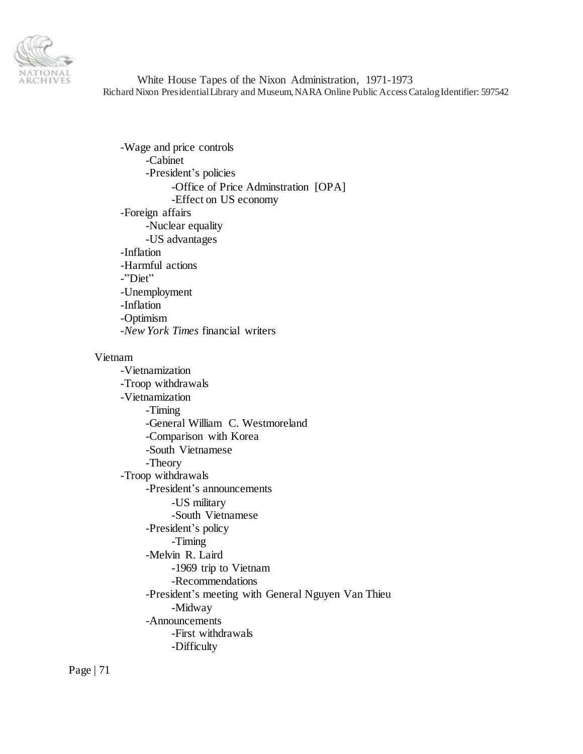

-Wage and price controls -Cabinet -President's policies -Office of Price Adminstration [OPA] -Effect on US economy -Foreign affairs -Nuclear equality -US advantages -Inflation -Harmful actions -"Diet" -Unemployment -Inflation -Optimism -*New York Times* financial writers

#### Vietnam

-Vietnamization -Troop withdrawals -Vietnamization -Timing -General William C. Westmoreland -Comparison with Korea -South Vietnamese -Theory -Troop withdrawals -President's announcements -US military -South Vietnamese -President's policy -Timing -Melvin R. Laird -1969 trip to Vietnam -Recommendations -President's meeting with General Nguyen Van Thieu -Midway -Announcements -First withdrawals -Difficulty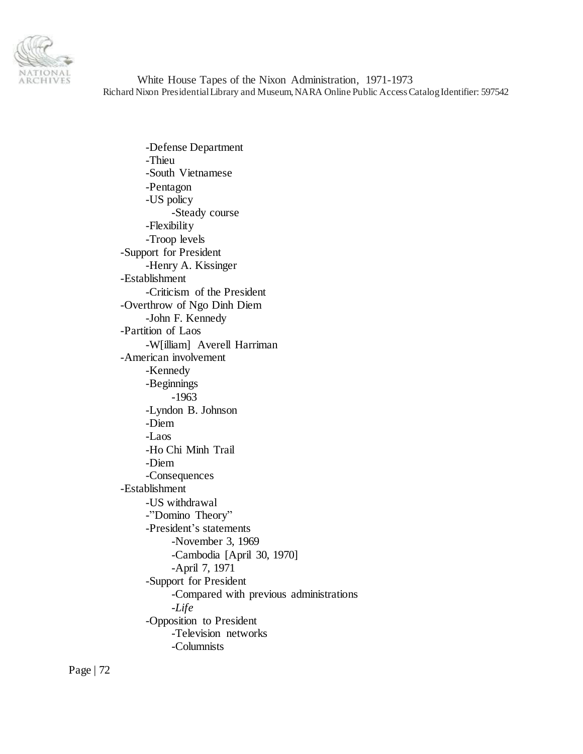

-Defense Department -Thieu -South Vietnamese -Pentagon -US policy -Steady course -Flexibility -Troop levels -Support for President -Henry A. Kissinger -Establishment -Criticism of the President -Overthrow of Ngo Dinh Diem -John F. Kennedy -Partition of Laos -W[illiam] Averell Harriman -American involvement -Kennedy -Beginnings -1963 -Lyndon B. Johnson -Diem -Laos -Ho Chi Minh Trail -Diem -Consequences -Establishment -US withdrawal -"Domino Theory" -President's statements -November 3, 1969 -Cambodia [April 30, 1970] -April 7, 1971 -Support for President -Compared with previous administrations -*Life* -Opposition to President -Television networks -Columnists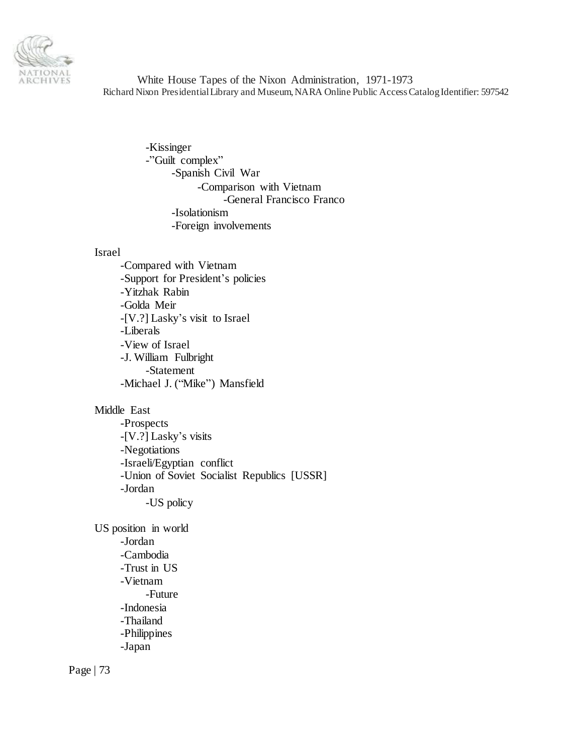

> -Kissinger -"Guilt complex" -Spanish Civil War -Comparison with Vietnam -General Francisco Franco -Isolationism -Foreign involvements

# Israel

-Compared with Vietnam -Support for President's policies -Yitzhak Rabin -Golda Meir -[V.?] Lasky's visit to Israel -Liberals -View of Israel -J. William Fulbright -Statement -Michael J. ("Mike") Mansfield

# Middle East

-Prospects -[V.?] Lasky's visits -Negotiations -Israeli/Egyptian conflict -Union of Soviet Socialist Republics [USSR] -Jordan -US policy

US position in world -Jordan -Cambodia -Trust in US -Vietnam -Future -Indonesia -Thailand -Philippines -Japan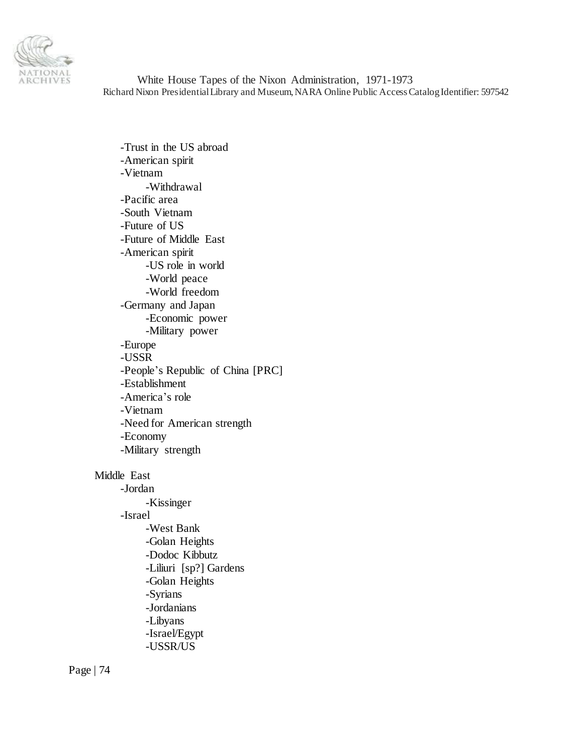

-Trust in the US abroad -American spirit -Vietnam -Withdrawal -Pacific area -South Vietnam -Future of US -Future of Middle East -American spirit -US role in world -World peace -World freedom -Germany and Japan -Economic power -Military power -Europe -USSR -People's Republic of China [PRC] -Establishment -America's role -Vietnam -Need for American strength -Economy -Military strength Middle East -Jordan -Kissinger -Israel -West Bank -Golan Heights -Dodoc Kibbutz -Liliuri [sp?] Gardens -Golan Heights -Syrians -Jordanians -Libyans -Israel/Egypt

-USSR/US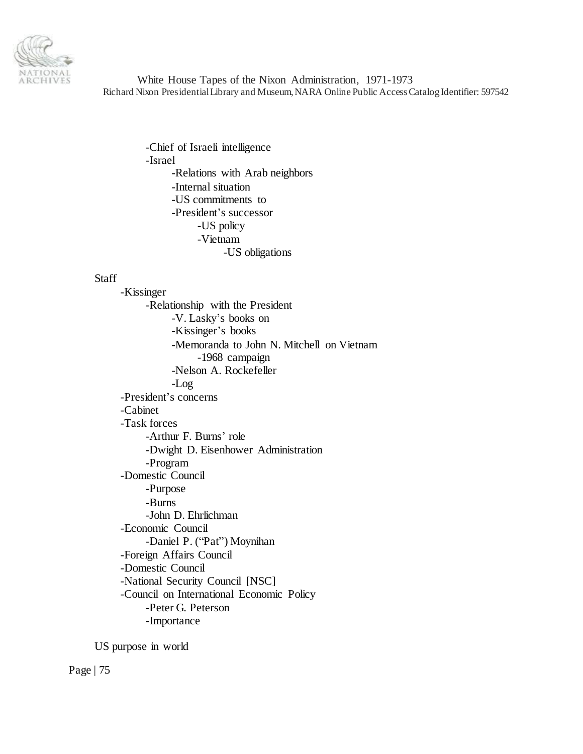

> -Chief of Israeli intelligence -Israel -Relations with Arab neighbors -Internal situation -US commitments to -President's successor -US policy -Vietnam -US obligations

# **Staff**

-Kissinger -Relationship with the President -V. Lasky's books on -Kissinger's books -Memoranda to John N. Mitchell on Vietnam -1968 campaign -Nelson A. Rockefeller -Log -President's concerns -Cabinet -Task forces -Arthur F. Burns' role -Dwight D. Eisenhower Administration -Program -Domestic Council -Purpose -Burns -John D. Ehrlichman -Economic Council -Daniel P. ("Pat") Moynihan -Foreign Affairs Council -Domestic Council -National Security Council [NSC] -Council on International Economic Policy -Peter G. Peterson -Importance

US purpose in world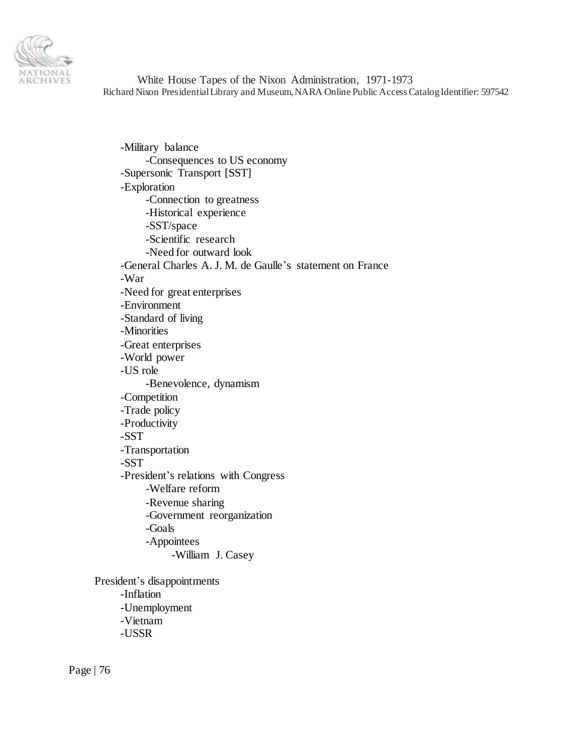

-Military balance -Consequences to US economy -Supersonic Transport [SST] -Exploration -Connection to greatness -Historical experience -SST/space -Scientific research -Need for outward look -General Charles A. J. M. de Gaulle's statement on France -War -Need for great enterprises -Environment -Standard of living -Minorities -Great enterprises -World power -US role -Benevolence, dynamism -Competition -Trade policy -Productivity -SST -Transportation -SST -President's relations with Congress -Welfare reform -Revenue sharing -Government reorganization -Goals -Appointees -William J. Casey President's disappointments -Inflation

-Unemployment -Vietnam -USSR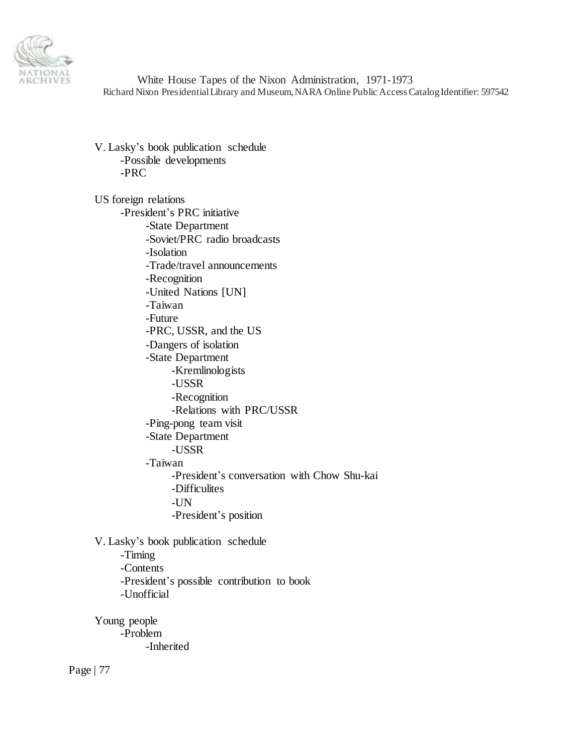

V. Lasky's book publication schedule -Possible developments -PRC

US foreign relations -President's PRC initiative -State Department -Soviet/PRC radio broadcasts -Isolation -Trade/travel announcements -Recognition -United Nations [UN] -Taiwan -Future -PRC, USSR, and the US -Dangers of isolation -State Department -Kremlinologists -USSR -Recognition -Relations with PRC/USSR -Ping-pong team visit -State Department -USSR -Taiwan -President's conversation with Chow Shu-kai -Difficulites -UN -President's position

V. Lasky's book publication schedule

-Timing -Contents -President's possible contribution to book -Unofficial

Young people -Problem -Inherited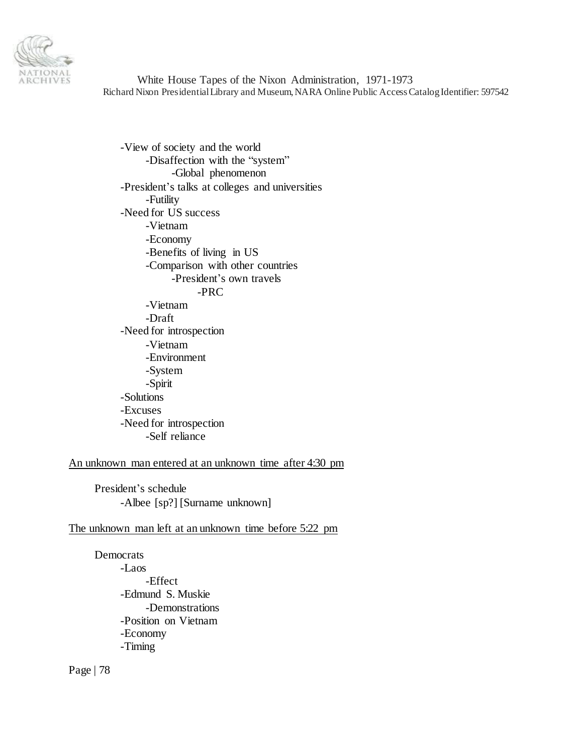

-View of society and the world -Disaffection with the "system" -Global phenomenon -President's talks at colleges and universities -Futility -Need for US success -Vietnam -Economy -Benefits of living in US -Comparison with other countries -President's own travels -PRC -Vietnam -Draft -Need for introspection -Vietnam -Environment -System -Spirit -Solutions -Excuses -Need for introspection -Self reliance

An unknown man entered at an unknown time after 4:30 pm

President's schedule -Albee [sp?] [Surname unknown]

# The unknown man left at an unknown time before 5:22 pm

Democrats -Laos -Effect -Edmund S. Muskie -Demonstrations -Position on Vietnam -Economy -Timing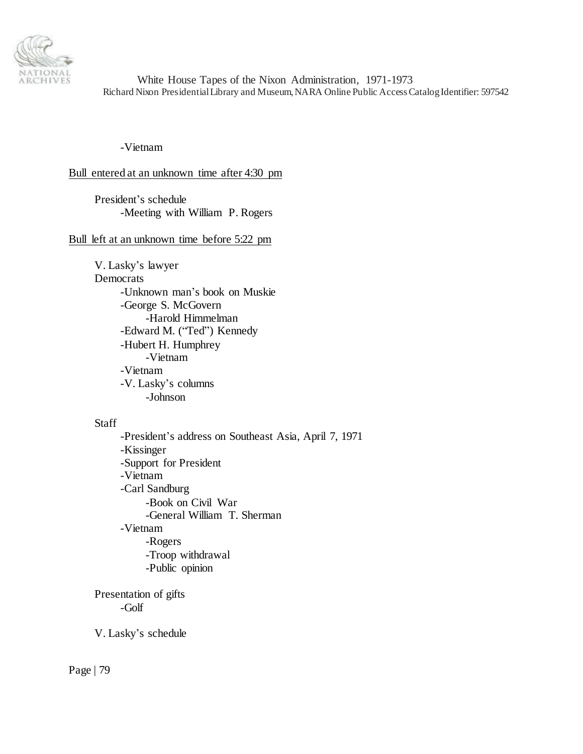

-Vietnam

## Bull entered at an unknown time after 4:30 pm

President's schedule -Meeting with William P. Rogers

## Bull left at an unknown time before 5:22 pm

V. Lasky's lawyer Democrats -Unknown man's book on Muskie -George S. McGovern -Harold Himmelman -Edward M. ("Ted") Kennedy -Hubert H. Humphrey -Vietnam -Vietnam -V. Lasky's columns -Johnson

## Staff

-President's address on Southeast Asia, April 7, 1971 -Kissinger -Support for President -Vietnam -Carl Sandburg -Book on Civil War -General William T. Sherman -Vietnam -Rogers -Troop withdrawal -Public opinion

Presentation of gifts -Golf

V. Lasky's schedule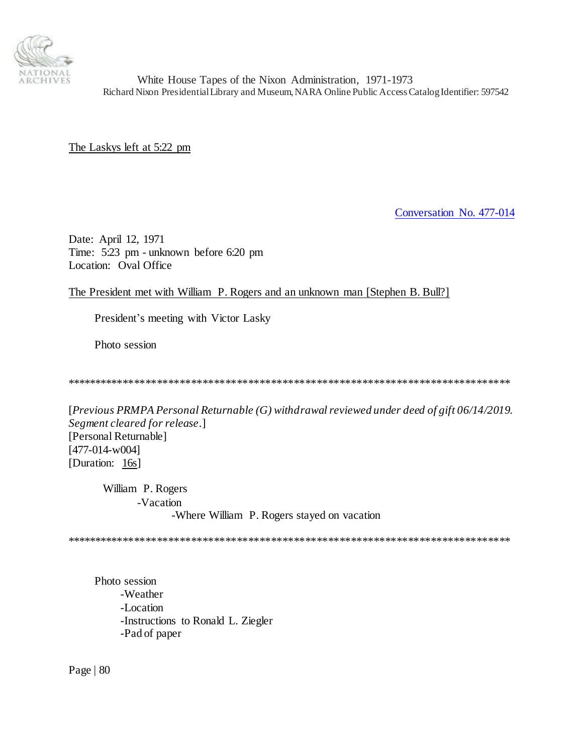

The Laskys left at 5:22 pm

[Conversation No. 477-014](#page-0-0)

Date: April 12, 1971 Time: 5:23 pm - unknown before 6:20 pm Location: Oval Office

The President met with William P. Rogers and an unknown man [Stephen B. Bull?]

President's meeting with Victor Lasky

Photo session

\*\*\*\*\*\*\*\*\*\*\*\*\*\*\*\*\*\*\*\*\*\*\*\*\*\*\*\*\*\*\*\*\*\*\*\*\*\*\*\*\*\*\*\*\*\*\*\*\*\*\*\*\*\*\*\*\*\*\*\*\*\*\*\*\*\*\*\*\*\*\*\*\*\*\*\*\*\*

[*Previous PRMPA Personal Returnable (G) withdrawal reviewed under deed of gift 06/14/2019. Segment cleared for release*.] [Personal Returnable] [477-014-w004] [Duration: 16s]

William P. Rogers -Vacation -Where William P. Rogers stayed on vacation

\*\*\*\*\*\*\*\*\*\*\*\*\*\*\*\*\*\*\*\*\*\*\*\*\*\*\*\*\*\*\*\*\*\*\*\*\*\*\*\*\*\*\*\*\*\*\*\*\*\*\*\*\*\*\*\*\*\*\*\*\*\*\*\*\*\*\*\*\*\*\*\*\*\*\*\*\*\*

Photo session -Weather -Location -Instructions to Ronald L. Ziegler -Pad of paper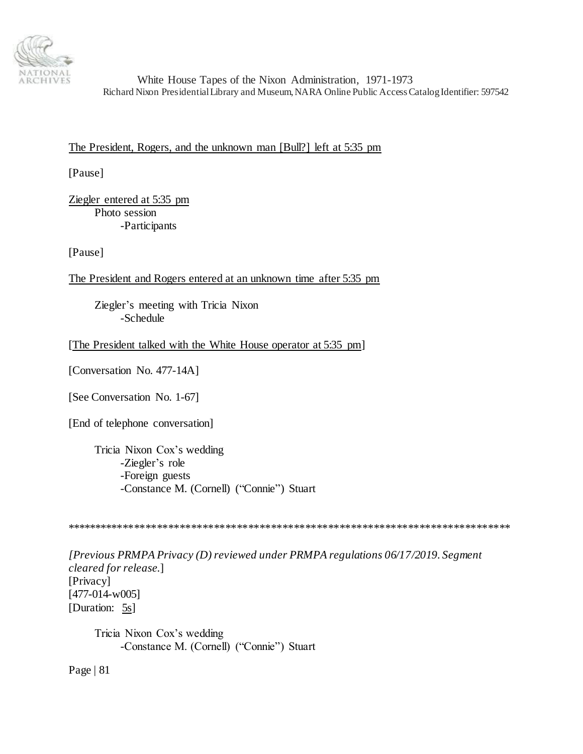

The President, Rogers, and the unknown man [Bull?] left at 5:35 pm

[Pause]

Ziegler entered at 5:35 pm Photo session -Participants

[Pause]

The President and Rogers entered at an unknown time after 5:35 pm

Ziegler's meeting with Tricia Nixon -Schedule

[The President talked with the White House operator at 5:35 pm]

[Conversation No. 477-14A]

[See Conversation No. 1-67]

[End of telephone conversation]

Tricia Nixon Cox's wedding -Ziegler's role -Foreign guests -Constance M. (Cornell) ("Connie") Stuart

\*\*\*\*\*\*\*\*\*\*\*\*\*\*\*\*\*\*\*\*\*\*\*\*\*\*\*\*\*\*\*\*\*\*\*\*\*\*\*\*\*\*\*\*\*\*\*\*\*\*\*\*\*\*\*\*\*\*\*\*\*\*\*\*\*\*\*\*\*\*\*\*\*\*\*\*\*\*

*[Previous PRMPA Privacy (D) reviewed under PRMPA regulations 06/17/2019. Segment cleared for release*.] [Privacy] [477-014-w005] [Duration: 5s]

Tricia Nixon Cox's wedding -Constance M. (Cornell) ("Connie") Stuart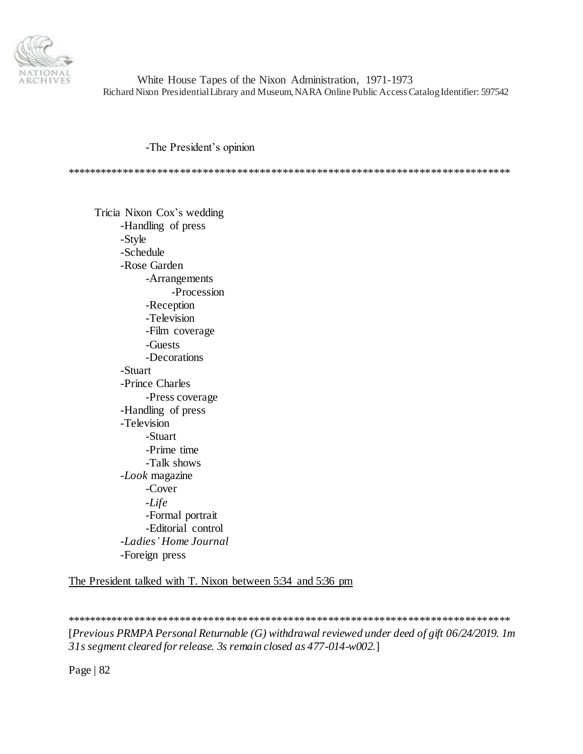

-The President's opinion

\*\*\*\*\*\*\*\*\*\*\*\*\*\*\*\*\*\*\*\*\*\*\*\*\*\*\*\*\*\*\*\*\*\*\*\*\*\*\*\*\*\*\*\*\*\*\*\*\*\*\*\*\*\*\*\*\*\*\*\*\*\*\*\*\*\*\*\*\*\*\*\*\*\*\*\*\*\*

Tricia Nixon Cox's wedding -Handling of press -Style -Schedule -Rose Garden -Arrangements -Procession -Reception -Television -Film coverage -Guests -Decorations -Stuart -Prince Charles -Press coverage -Handling of press -Television -Stuart -Prime time -Talk shows -*Look* magazine -Cover -*Life* -Formal portrait -Editorial control -*Ladies' Home Journal* -Foreign press

The President talked with T. Nixon between 5:34 and 5:36 pm

\*\*\*\*\*\*\*\*\*\*\*\*\*\*\*\*\*\*\*\*\*\*\*\*\*\*\*\*\*\*\*\*\*\*\*\*\*\*\*\*\*\*\*\*\*\*\*\*\*\*\*\*\*\*\*\*\*\*\*\*\*\*\*\*\*\*\*\*\*\*\*\*\*\*\*\*\*\*

[*Previous PRMPA Personal Returnable (G) withdrawal reviewed under deed of gift 06/24/2019. 1m 31s segment cleared for release. 3s remain closed as 477-014-w002.*]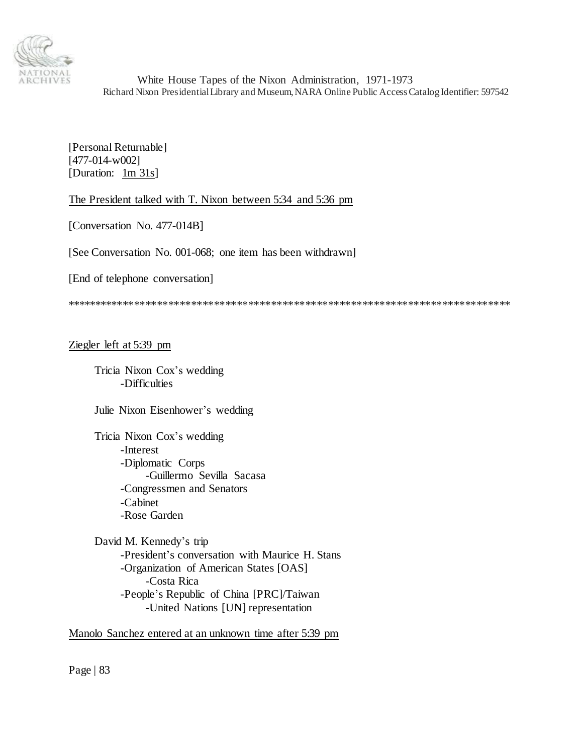

[Personal Returnable] [477-014-w002] [Duration: 1m 31s]

The President talked with T. Nixon between 5:34 and 5:36 pm

[Conversation No. 477-014B]

[See Conversation No. 001-068; one item has been withdrawn]

[End of telephone conversation]

\*\*\*\*\*\*\*\*\*\*\*\*\*\*\*\*\*\*\*\*\*\*\*\*\*\*\*\*\*\*\*\*\*\*\*\*\*\*\*\*\*\*\*\*\*\*\*\*\*\*\*\*\*\*\*\*\*\*\*\*\*\*\*\*\*\*\*\*\*\*\*\*\*\*\*\*\*\*

# Ziegler left at 5:39 pm

Tricia Nixon Cox's wedding -Difficulties

Julie Nixon Eisenhower's wedding

Tricia Nixon Cox's wedding -Interest -Diplomatic Corps -Guillermo Sevilla Sacasa -Congressmen and Senators -Cabinet -Rose Garden

David M. Kennedy's trip -President's conversation with Maurice H. Stans -Organization of American States [OAS] -Costa Rica -People's Republic of China [PRC]/Taiwan -United Nations [UN] representation

Manolo Sanchez entered at an unknown time after 5:39 pm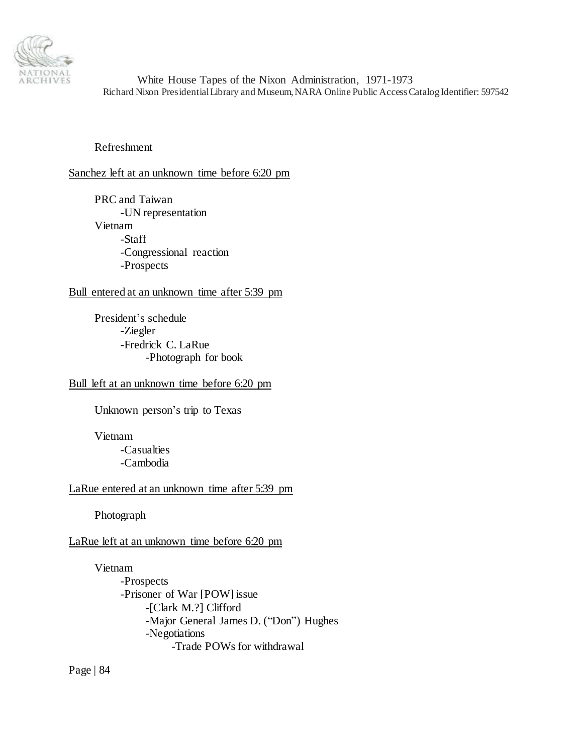

Refreshment

# Sanchez left at an unknown time before 6:20 pm

PRC and Taiwan -UN representation Vietnam -Staff -Congressional reaction -Prospects

# Bull entered at an unknown time after 5:39 pm

President's schedule -Ziegler -Fredrick C. LaRue -Photograph for book

# Bull left at an unknown time before 6:20 pm

Unknown person's trip to Texas

Vietnam -Casualties -Cambodia

# LaRue entered at an unknown time after 5:39 pm

Photograph

# LaRue left at an unknown time before 6:20 pm

Vietnam -Prospects -Prisoner of War [POW] issue -[Clark M.?] Clifford -Major General James D. ("Don") Hughes -Negotiations -Trade POWs for withdrawal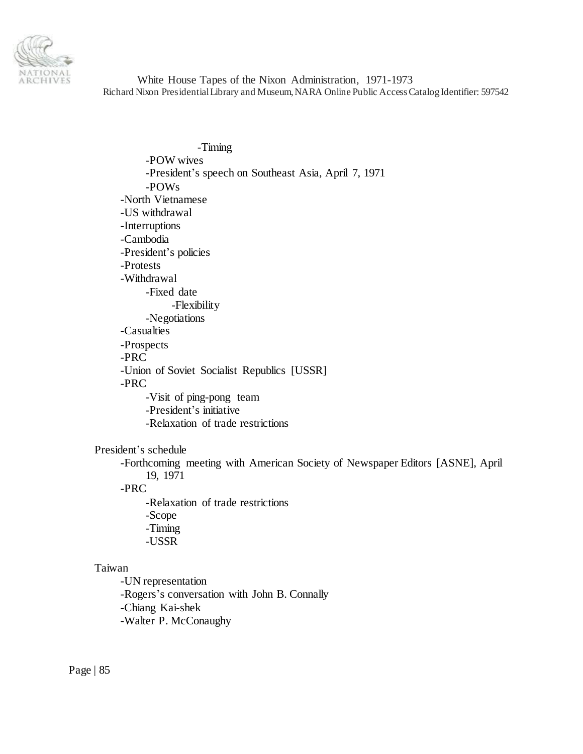

-Timing -POW wives -President's speech on Southeast Asia, April 7, 1971 -POWs -North Vietnamese -US withdrawal -Interruptions -Cambodia -President's policies -Protests -Withdrawal -Fixed date -Flexibility -Negotiations -Casualties -Prospects -PRC -Union of Soviet Socialist Republics [USSR] -PRC -Visit of ping-pong team -President's initiative -Relaxation of trade restrictions

## President's schedule

-Forthcoming meeting with American Society of Newspaper Editors [ASNE], April 19, 1971

# -PRC

-Relaxation of trade restrictions -Scope -Timing -USSR

# Taiwan

-UN representation -Rogers's conversation with John B. Connally -Chiang Kai-shek -Walter P. McConaughy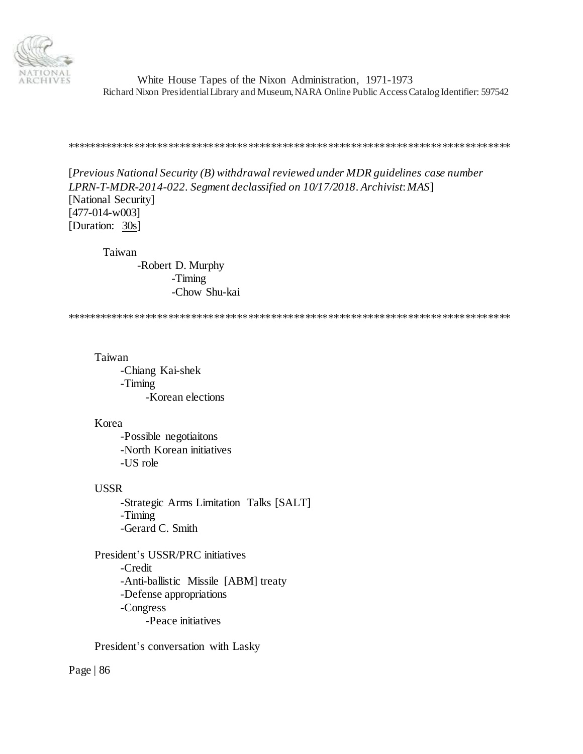

#### \*\*\*\*\*\*\*\*\*\*\*\*\*\*\*\*\*\*\*\*\*\*\*\*\*\*\*\*\*\*\*\*\*\*\*\*\*\*\*\*\*\*\*\*\*\*\*\*\*\*\*\*\*\*\*\*\*\*\*\*\*\*\*\*\*\*\*\*\*\*\*\*\*\*\*\*\*\*

[*Previous National Security (B) withdrawal reviewed under MDR guidelines case number LPRN-T-MDR-2014-022. Segment declassified on 10/17/2018. Archivist*: *MAS*] [National Security] [477-014-w003] [Duration: 30s]

Taiwan

-Robert D. Murphy -Timing -Chow Shu-kai

\*\*\*\*\*\*\*\*\*\*\*\*\*\*\*\*\*\*\*\*\*\*\*\*\*\*\*\*\*\*\*\*\*\*\*\*\*\*\*\*\*\*\*\*\*\*\*\*\*\*\*\*\*\*\*\*\*\*\*\*\*\*\*\*\*\*\*\*\*\*\*\*\*\*\*\*\*\*

Taiwan

-Chiang Kai-shek -Timing -Korean elections

Korea

-Possible negotiaitons -North Korean initiatives -US role

USSR

-Strategic Arms Limitation Talks [SALT] -Timing -Gerard C. Smith

President's USSR/PRC initiatives -Credit -Anti-ballistic Missile [ABM] treaty -Defense appropriations -Congress -Peace initiatives

President's conversation with Lasky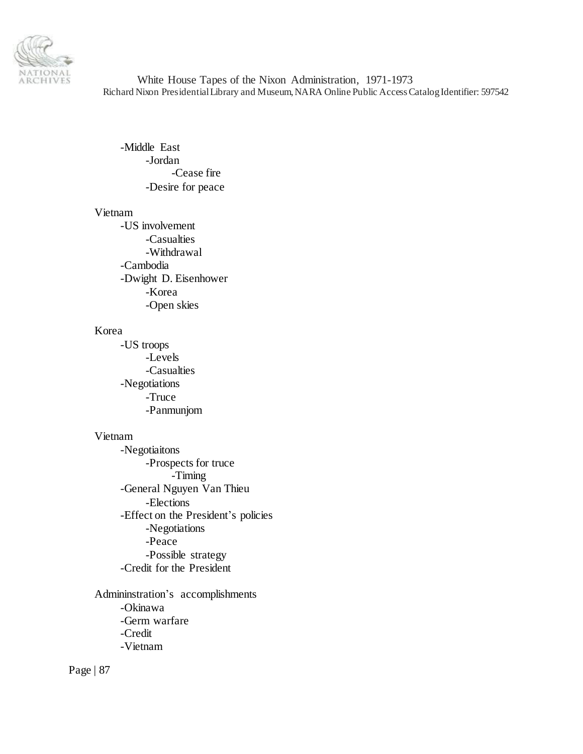

-Middle East -Jordan -Cease fire -Desire for peace

## Vietnam

-US involvement -Casualties -Withdrawal -Cambodia -Dwight D. Eisenhower -Korea -Open skies

# Korea

-US troops -Levels -Casualties -Negotiations -Truce -Panmunjom

#### Vietnam

-Negotiaitons -Prospects for truce -Timing -General Nguyen Van Thieu -Elections -Effect on the President's policies -Negotiations -Peace -Possible strategy -Credit for the President

Admininstration's accomplishments -Okinawa -Germ warfare -Credit -Vietnam